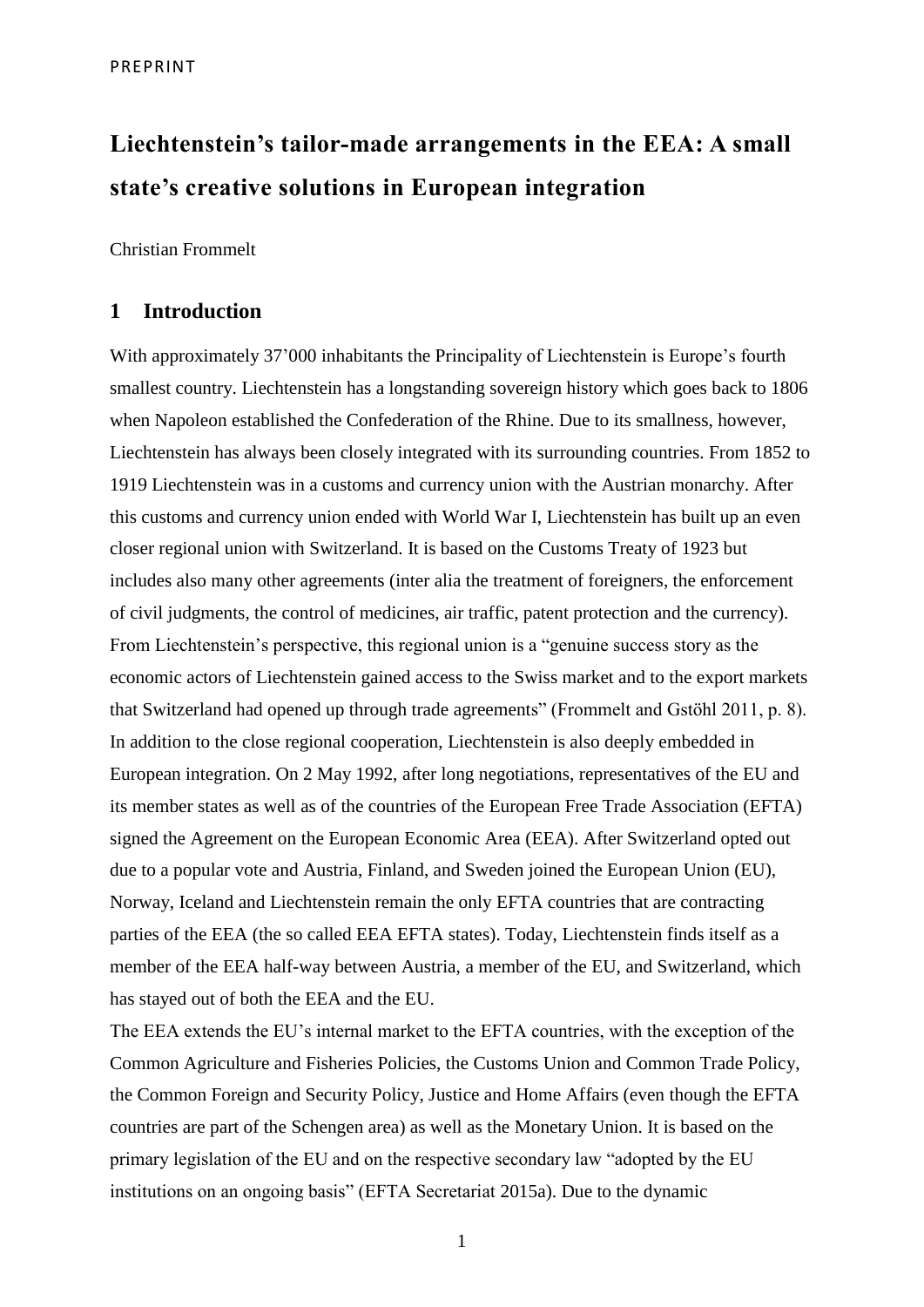# **Liechtenstein's tailor-made arrangements in the EEA: A small state's creative solutions in European integration**

Christian Frommelt

# **1 Introduction**

With approximately 37'000 inhabitants the Principality of Liechtenstein is Europe's fourth smallest country. Liechtenstein has a longstanding sovereign history which goes back to 1806 when Napoleon established the Confederation of the Rhine. Due to its smallness, however, Liechtenstein has always been closely integrated with its surrounding countries. From 1852 to 1919 Liechtenstein was in a customs and currency union with the Austrian monarchy. After this customs and currency union ended with World War I, Liechtenstein has built up an even closer regional union with Switzerland. It is based on the Customs Treaty of 1923 but includes also many other agreements (inter alia the treatment of foreigners, the enforcement of civil judgments, the control of medicines, air traffic, patent protection and the currency). From Liechtenstein's perspective, this regional union is a "genuine success story as the economic actors of Liechtenstein gained access to the Swiss market and to the export markets that Switzerland had opened up through trade agreements" (Frommelt and Gstöhl 2011, p. 8). In addition to the close regional cooperation, Liechtenstein is also deeply embedded in European integration. On 2 May 1992, after long negotiations, representatives of the EU and its member states as well as of the countries of the European Free Trade Association (EFTA) signed the Agreement on the European Economic Area (EEA). After Switzerland opted out due to a popular vote and Austria, Finland, and Sweden joined the European Union (EU), Norway, Iceland and Liechtenstein remain the only EFTA countries that are contracting parties of the EEA (the so called EEA EFTA states). Today, Liechtenstein finds itself as a member of the EEA half-way between Austria, a member of the EU, and Switzerland, which has stayed out of both the EEA and the EU.

The EEA extends the EU's internal market to the EFTA countries, with the exception of the Common Agriculture and Fisheries Policies, the Customs Union and Common Trade Policy, the Common Foreign and Security Policy, Justice and Home Affairs (even though the EFTA countries are part of the Schengen area) as well as the Monetary Union. It is based on the primary legislation of the EU and on the respective secondary law "adopted by the EU institutions on an ongoing basis" (EFTA Secretariat 2015a). Due to the dynamic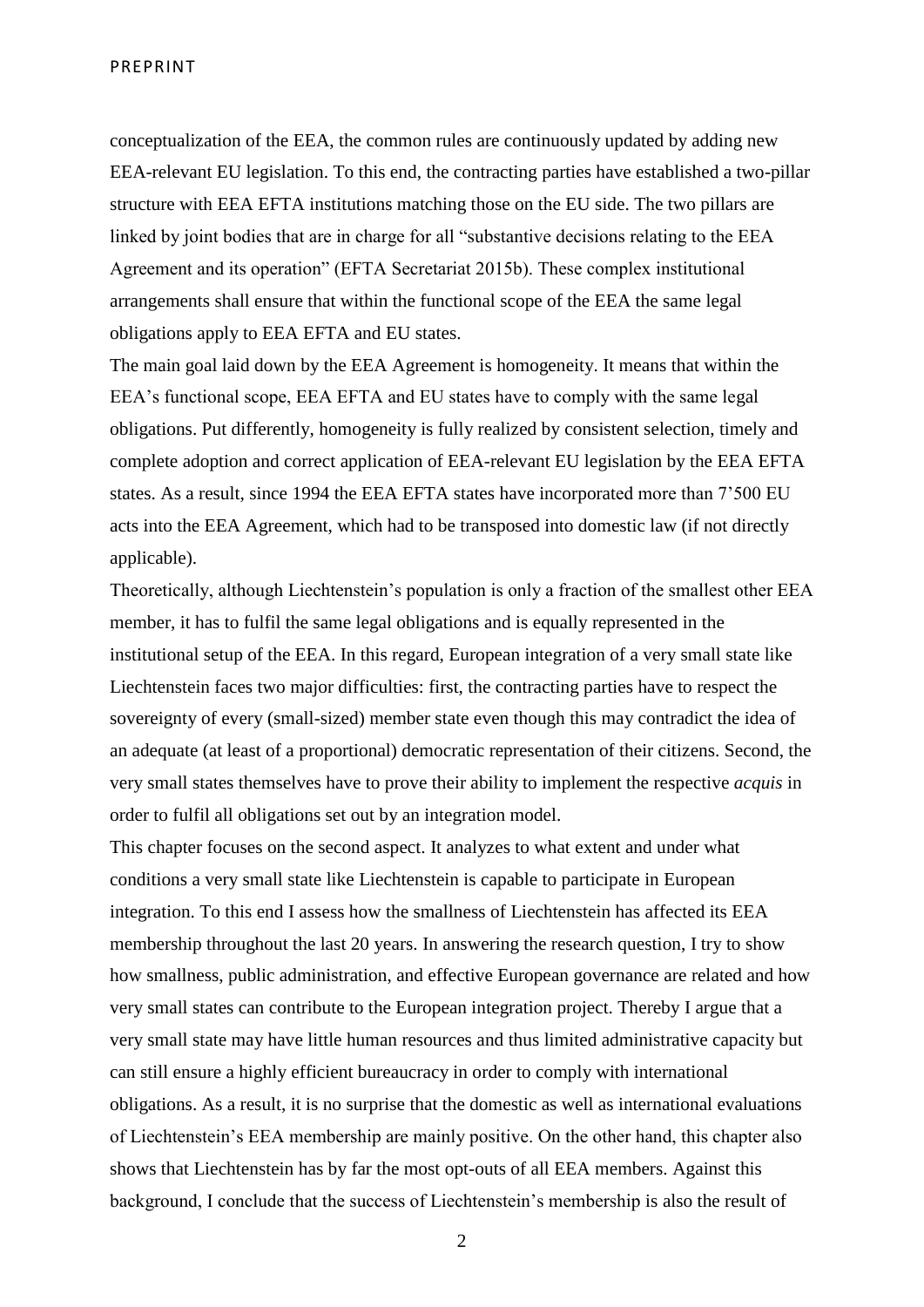conceptualization of the EEA, the common rules are continuously updated by adding new EEA-relevant EU legislation. To this end, the contracting parties have established a two-pillar structure with EEA EFTA institutions matching those on the EU side. The two pillars are linked by joint bodies that are in charge for all "substantive decisions relating to the EEA Agreement and its operation" (EFTA Secretariat 2015b). These complex institutional arrangements shall ensure that within the functional scope of the EEA the same legal obligations apply to EEA EFTA and EU states.

The main goal laid down by the EEA Agreement is homogeneity. It means that within the EEA's functional scope, EEA EFTA and EU states have to comply with the same legal obligations. Put differently, homogeneity is fully realized by consistent selection, timely and complete adoption and correct application of EEA-relevant EU legislation by the EEA EFTA states. As a result, since 1994 the EEA EFTA states have incorporated more than 7'500 EU acts into the EEA Agreement, which had to be transposed into domestic law (if not directly applicable).

Theoretically, although Liechtenstein's population is only a fraction of the smallest other EEA member, it has to fulfil the same legal obligations and is equally represented in the institutional setup of the EEA. In this regard, European integration of a very small state like Liechtenstein faces two major difficulties: first, the contracting parties have to respect the sovereignty of every (small-sized) member state even though this may contradict the idea of an adequate (at least of a proportional) democratic representation of their citizens. Second, the very small states themselves have to prove their ability to implement the respective *acquis* in order to fulfil all obligations set out by an integration model.

This chapter focuses on the second aspect. It analyzes to what extent and under what conditions a very small state like Liechtenstein is capable to participate in European integration. To this end I assess how the smallness of Liechtenstein has affected its EEA membership throughout the last 20 years. In answering the research question, I try to show how smallness, public administration, and effective European governance are related and how very small states can contribute to the European integration project. Thereby I argue that a very small state may have little human resources and thus limited administrative capacity but can still ensure a highly efficient bureaucracy in order to comply with international obligations. As a result, it is no surprise that the domestic as well as international evaluations of Liechtenstein's EEA membership are mainly positive. On the other hand, this chapter also shows that Liechtenstein has by far the most opt-outs of all EEA members. Against this background, I conclude that the success of Liechtenstein's membership is also the result of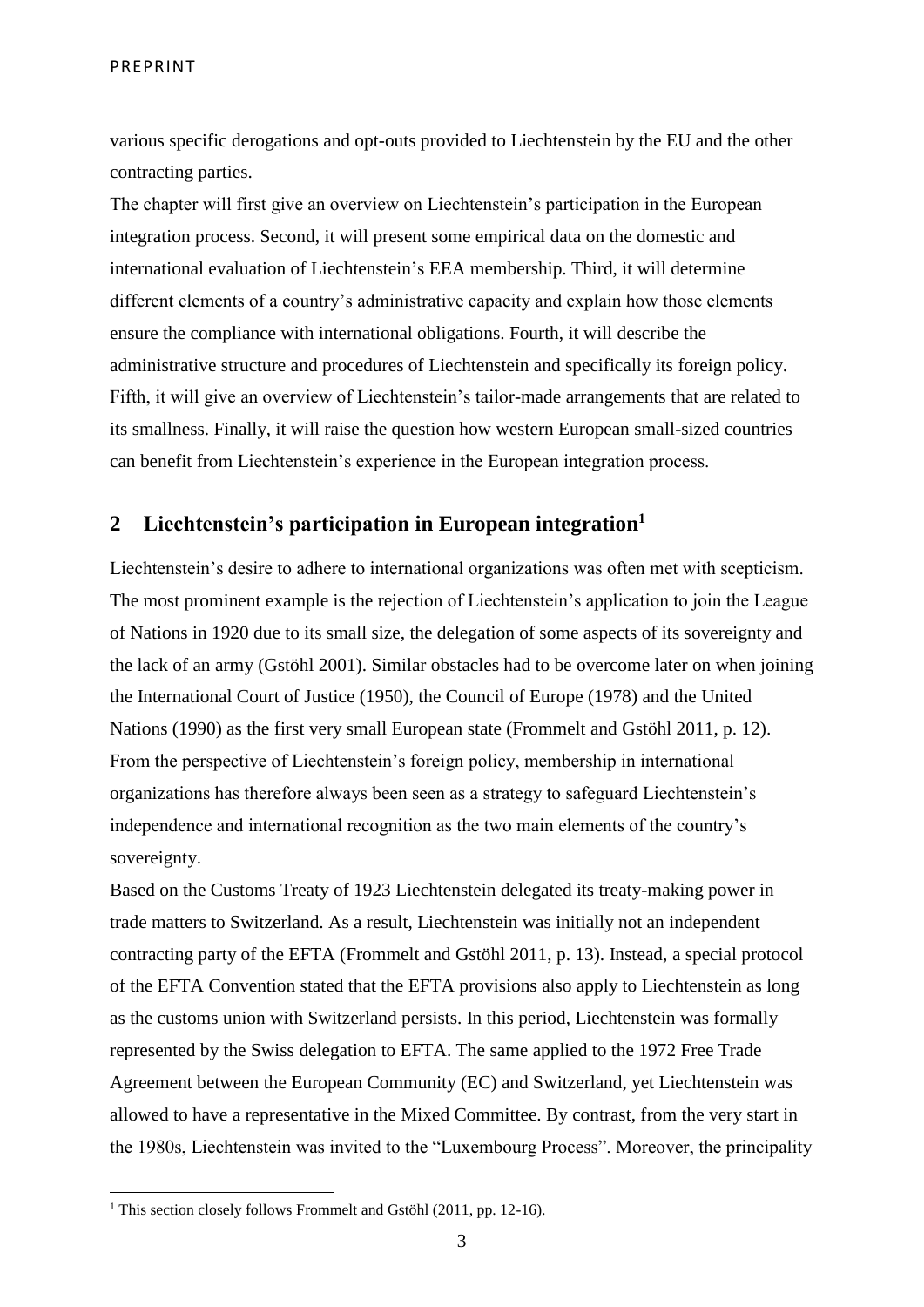various specific derogations and opt-outs provided to Liechtenstein by the EU and the other contracting parties.

The chapter will first give an overview on Liechtenstein's participation in the European integration process. Second, it will present some empirical data on the domestic and international evaluation of Liechtenstein's EEA membership. Third, it will determine different elements of a country's administrative capacity and explain how those elements ensure the compliance with international obligations. Fourth, it will describe the administrative structure and procedures of Liechtenstein and specifically its foreign policy. Fifth, it will give an overview of Liechtenstein's tailor-made arrangements that are related to its smallness. Finally, it will raise the question how western European small-sized countries can benefit from Liechtenstein's experience in the European integration process.

# **2 Liechtenstein's participation in European integration 1**

Liechtenstein's desire to adhere to international organizations was often met with scepticism. The most prominent example is the rejection of Liechtenstein's application to join the League of Nations in 1920 due to its small size, the delegation of some aspects of its sovereignty and the lack of an army (Gstöhl 2001). Similar obstacles had to be overcome later on when joining the International Court of Justice (1950), the Council of Europe (1978) and the United Nations (1990) as the first very small European state (Frommelt and Gstöhl 2011, p. 12). From the perspective of Liechtenstein's foreign policy, membership in international organizations has therefore always been seen as a strategy to safeguard Liechtenstein's independence and international recognition as the two main elements of the country's sovereignty.

Based on the Customs Treaty of 1923 Liechtenstein delegated its treaty-making power in trade matters to Switzerland. As a result, Liechtenstein was initially not an independent contracting party of the EFTA (Frommelt and Gstöhl 2011, p. 13). Instead, a special protocol of the EFTA Convention stated that the EFTA provisions also apply to Liechtenstein as long as the customs union with Switzerland persists. In this period, Liechtenstein was formally represented by the Swiss delegation to EFTA. The same applied to the 1972 Free Trade Agreement between the European Community (EC) and Switzerland, yet Liechtenstein was allowed to have a representative in the Mixed Committee. By contrast, from the very start in the 1980s, Liechtenstein was invited to the "Luxembourg Process". Moreover, the principality

<sup>&</sup>lt;sup>1</sup> This section closely follows Frommelt and Gstöhl (2011, pp. 12-16).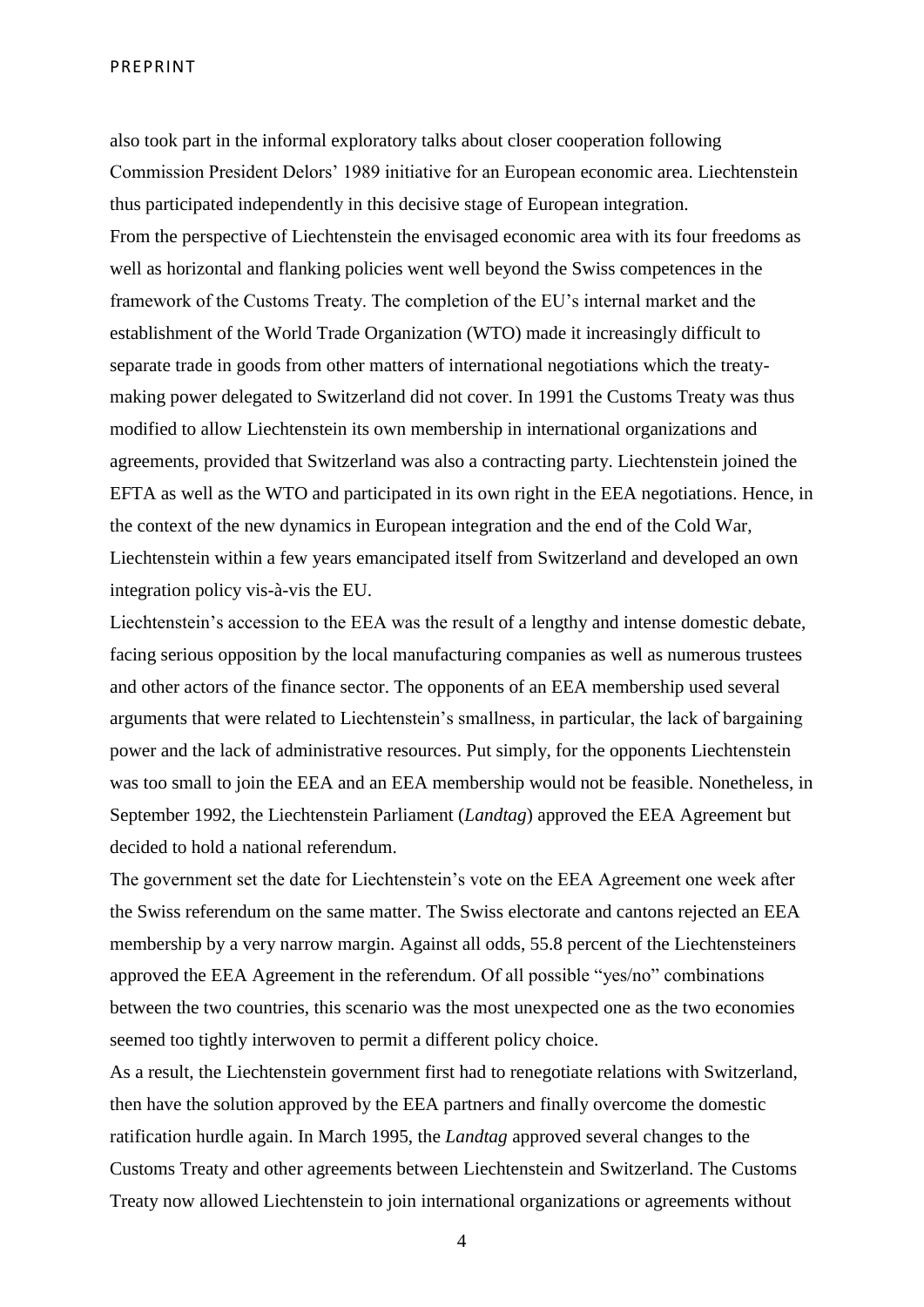also took part in the informal exploratory talks about closer cooperation following Commission President Delors' 1989 initiative for an European economic area. Liechtenstein thus participated independently in this decisive stage of European integration. From the perspective of Liechtenstein the envisaged economic area with its four freedoms as well as horizontal and flanking policies went well beyond the Swiss competences in the framework of the Customs Treaty. The completion of the EU's internal market and the establishment of the World Trade Organization (WTO) made it increasingly difficult to separate trade in goods from other matters of international negotiations which the treatymaking power delegated to Switzerland did not cover. In 1991 the Customs Treaty was thus modified to allow Liechtenstein its own membership in international organizations and agreements, provided that Switzerland was also a contracting party. Liechtenstein joined the EFTA as well as the WTO and participated in its own right in the EEA negotiations. Hence, in the context of the new dynamics in European integration and the end of the Cold War, Liechtenstein within a few years emancipated itself from Switzerland and developed an own integration policy vis-à-vis the EU.

Liechtenstein's accession to the EEA was the result of a lengthy and intense domestic debate, facing serious opposition by the local manufacturing companies as well as numerous trustees and other actors of the finance sector. The opponents of an EEA membership used several arguments that were related to Liechtenstein's smallness, in particular, the lack of bargaining power and the lack of administrative resources. Put simply, for the opponents Liechtenstein was too small to join the EEA and an EEA membership would not be feasible. Nonetheless, in September 1992, the Liechtenstein Parliament (*Landtag*) approved the EEA Agreement but decided to hold a national referendum.

The government set the date for Liechtenstein's vote on the EEA Agreement one week after the Swiss referendum on the same matter. The Swiss electorate and cantons rejected an EEA membership by a very narrow margin. Against all odds, 55.8 percent of the Liechtensteiners approved the EEA Agreement in the referendum. Of all possible "yes/no" combinations between the two countries, this scenario was the most unexpected one as the two economies seemed too tightly interwoven to permit a different policy choice.

As a result, the Liechtenstein government first had to renegotiate relations with Switzerland, then have the solution approved by the EEA partners and finally overcome the domestic ratification hurdle again. In March 1995, the *Landtag* approved several changes to the Customs Treaty and other agreements between Liechtenstein and Switzerland. The Customs Treaty now allowed Liechtenstein to join international organizations or agreements without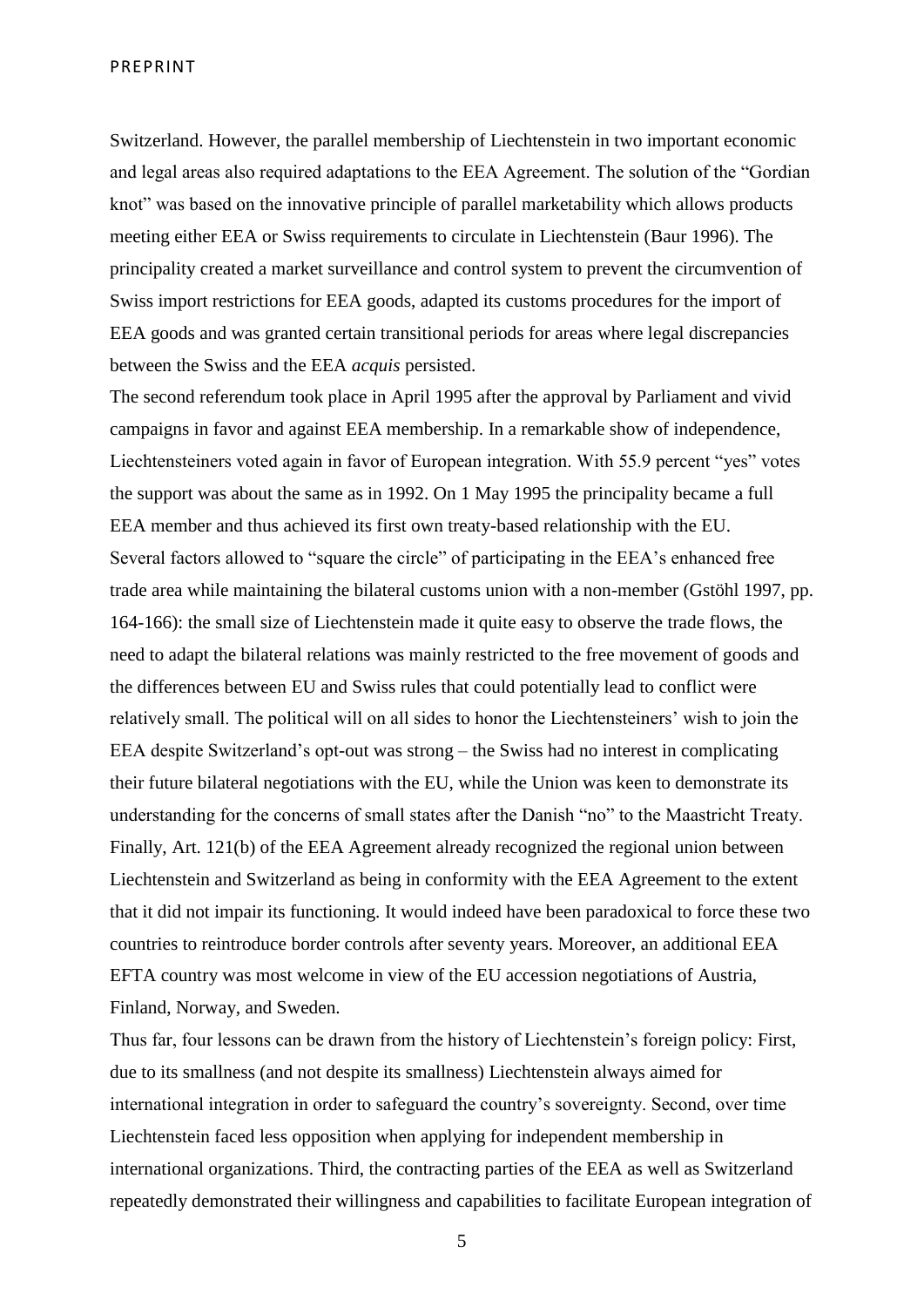Switzerland. However, the parallel membership of Liechtenstein in two important economic and legal areas also required adaptations to the EEA Agreement. The solution of the "Gordian knot" was based on the innovative principle of parallel marketability which allows products meeting either EEA or Swiss requirements to circulate in Liechtenstein (Baur 1996). The principality created a market surveillance and control system to prevent the circumvention of Swiss import restrictions for EEA goods, adapted its customs procedures for the import of EEA goods and was granted certain transitional periods for areas where legal discrepancies between the Swiss and the EEA *acquis* persisted.

The second referendum took place in April 1995 after the approval by Parliament and vivid campaigns in favor and against EEA membership. In a remarkable show of independence, Liechtensteiners voted again in favor of European integration. With 55.9 percent "yes" votes the support was about the same as in 1992. On 1 May 1995 the principality became a full EEA member and thus achieved its first own treaty-based relationship with the EU. Several factors allowed to "square the circle" of participating in the EEA's enhanced free trade area while maintaining the bilateral customs union with a non-member (Gstöhl 1997, pp. 164-166): the small size of Liechtenstein made it quite easy to observe the trade flows, the need to adapt the bilateral relations was mainly restricted to the free movement of goods and the differences between EU and Swiss rules that could potentially lead to conflict were relatively small. The political will on all sides to honor the Liechtensteiners' wish to join the EEA despite Switzerland's opt-out was strong – the Swiss had no interest in complicating their future bilateral negotiations with the EU, while the Union was keen to demonstrate its understanding for the concerns of small states after the Danish "no" to the Maastricht Treaty. Finally, Art. 121(b) of the EEA Agreement already recognized the regional union between Liechtenstein and Switzerland as being in conformity with the EEA Agreement to the extent that it did not impair its functioning. It would indeed have been paradoxical to force these two countries to reintroduce border controls after seventy years. Moreover, an additional EEA EFTA country was most welcome in view of the EU accession negotiations of Austria, Finland, Norway, and Sweden.

Thus far, four lessons can be drawn from the history of Liechtenstein's foreign policy: First, due to its smallness (and not despite its smallness) Liechtenstein always aimed for international integration in order to safeguard the country's sovereignty. Second, over time Liechtenstein faced less opposition when applying for independent membership in international organizations. Third, the contracting parties of the EEA as well as Switzerland repeatedly demonstrated their willingness and capabilities to facilitate European integration of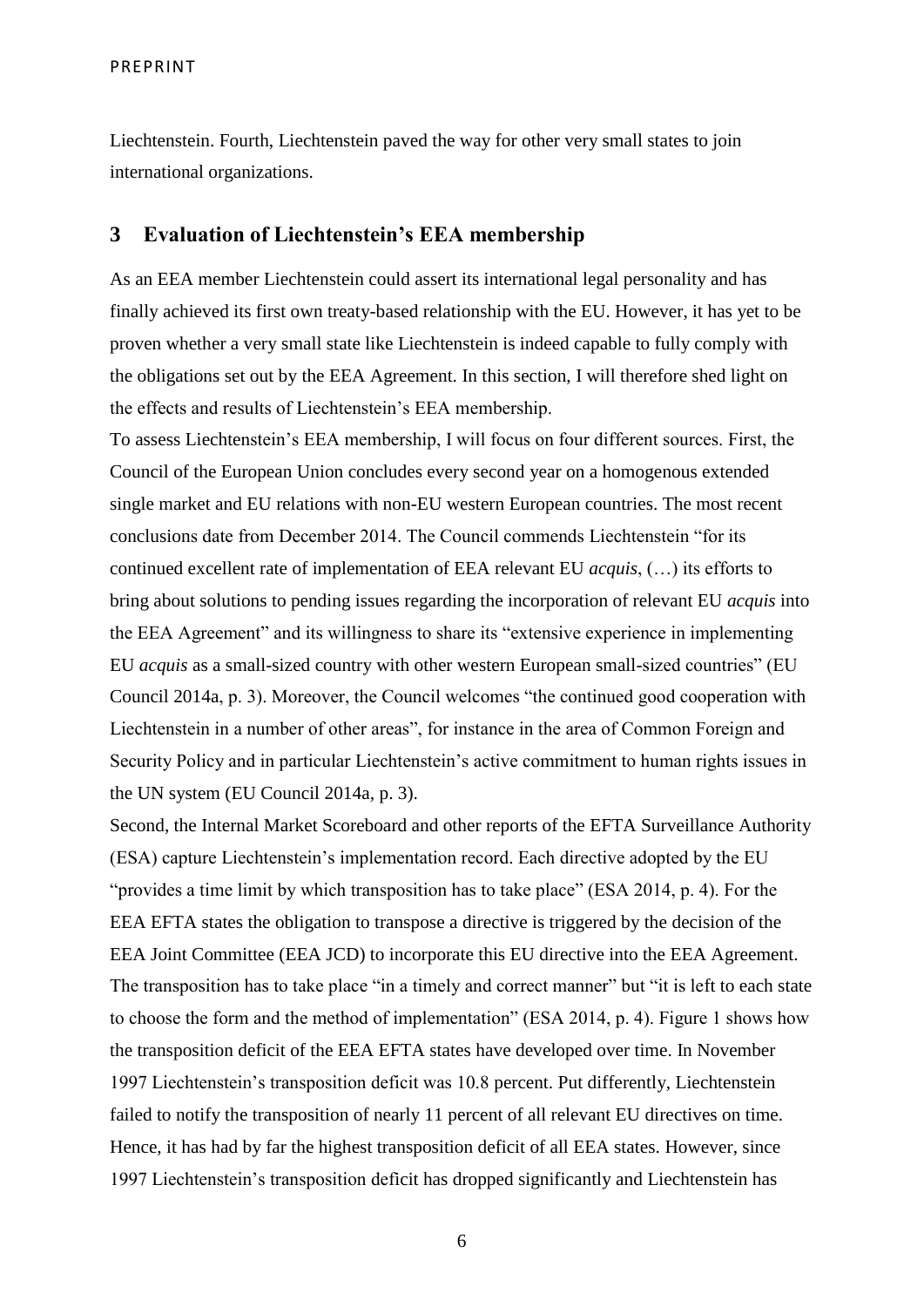Liechtenstein. Fourth, Liechtenstein paved the way for other very small states to join international organizations.

# **3 Evaluation of Liechtenstein's EEA membership**

As an EEA member Liechtenstein could assert its international legal personality and has finally achieved its first own treaty-based relationship with the EU. However, it has yet to be proven whether a very small state like Liechtenstein is indeed capable to fully comply with the obligations set out by the EEA Agreement. In this section, I will therefore shed light on the effects and results of Liechtenstein's EEA membership.

To assess Liechtenstein's EEA membership, I will focus on four different sources. First, the Council of the European Union concludes every second year on a homogenous extended single market and EU relations with non-EU western European countries. The most recent conclusions date from December 2014. The Council commends Liechtenstein "for its continued excellent rate of implementation of EEA relevant EU *acquis*, (…) its efforts to bring about solutions to pending issues regarding the incorporation of relevant EU *acquis* into the EEA Agreement" and its willingness to share its "extensive experience in implementing EU *acquis* as a small-sized country with other western European small-sized countries" (EU Council 2014a, p. 3). Moreover, the Council welcomes "the continued good cooperation with Liechtenstein in a number of other areas", for instance in the area of Common Foreign and Security Policy and in particular Liechtenstein's active commitment to human rights issues in the UN system (EU Council 2014a, p. 3).

Second, the Internal Market Scoreboard and other reports of the EFTA Surveillance Authority (ESA) capture Liechtenstein's implementation record. Each directive adopted by the EU "provides a time limit by which transposition has to take place" (ESA 2014, p. 4). For the EEA EFTA states the obligation to transpose a directive is triggered by the decision of the EEA Joint Committee (EEA JCD) to incorporate this EU directive into the EEA Agreement. The transposition has to take place "in a timely and correct manner" but "it is left to each state to choose the form and the method of implementation" (ESA 2014, p. 4). Figure 1 shows how the transposition deficit of the EEA EFTA states have developed over time. In November 1997 Liechtenstein's transposition deficit was 10.8 percent. Put differently, Liechtenstein failed to notify the transposition of nearly 11 percent of all relevant EU directives on time. Hence, it has had by far the highest transposition deficit of all EEA states. However, since 1997 Liechtenstein's transposition deficit has dropped significantly and Liechtenstein has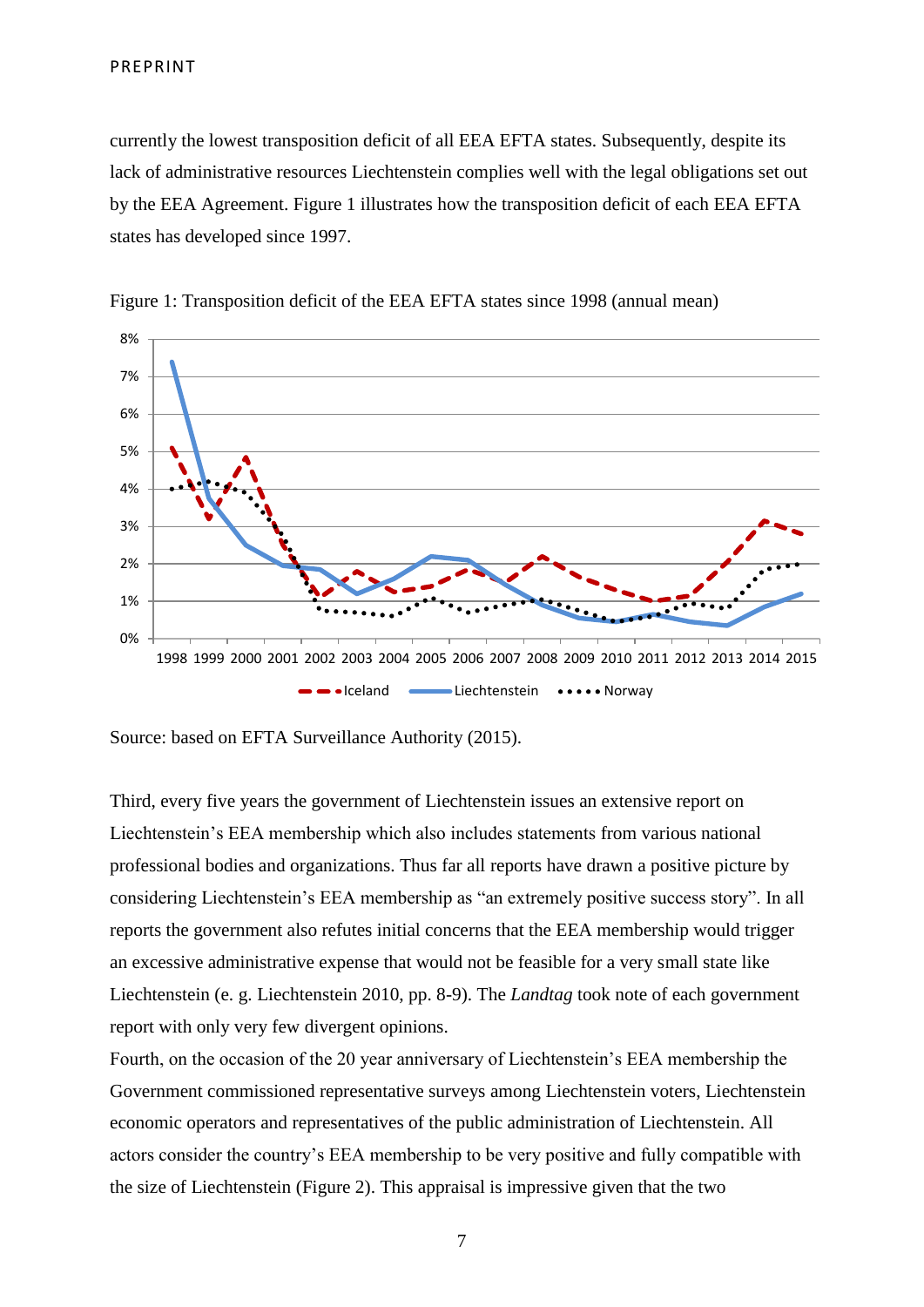currently the lowest transposition deficit of all EEA EFTA states. Subsequently, despite its lack of administrative resources Liechtenstein complies well with the legal obligations set out by the EEA Agreement. Figure 1 illustrates how the transposition deficit of each EEA EFTA states has developed since 1997.



Figure 1: Transposition deficit of the EEA EFTA states since 1998 (annual mean)

Source: based on EFTA Surveillance Authority (2015).

Third, every five years the government of Liechtenstein issues an extensive report on Liechtenstein's EEA membership which also includes statements from various national professional bodies and organizations. Thus far all reports have drawn a positive picture by considering Liechtenstein's EEA membership as "an extremely positive success story". In all reports the government also refutes initial concerns that the EEA membership would trigger an excessive administrative expense that would not be feasible for a very small state like Liechtenstein (e. g. Liechtenstein 2010, pp. 8-9). The *Landtag* took note of each government report with only very few divergent opinions.

Fourth, on the occasion of the 20 year anniversary of Liechtenstein's EEA membership the Government commissioned representative surveys among Liechtenstein voters, Liechtenstein economic operators and representatives of the public administration of Liechtenstein. All actors consider the country's EEA membership to be very positive and fully compatible with the size of Liechtenstein (Figure 2). This appraisal is impressive given that the two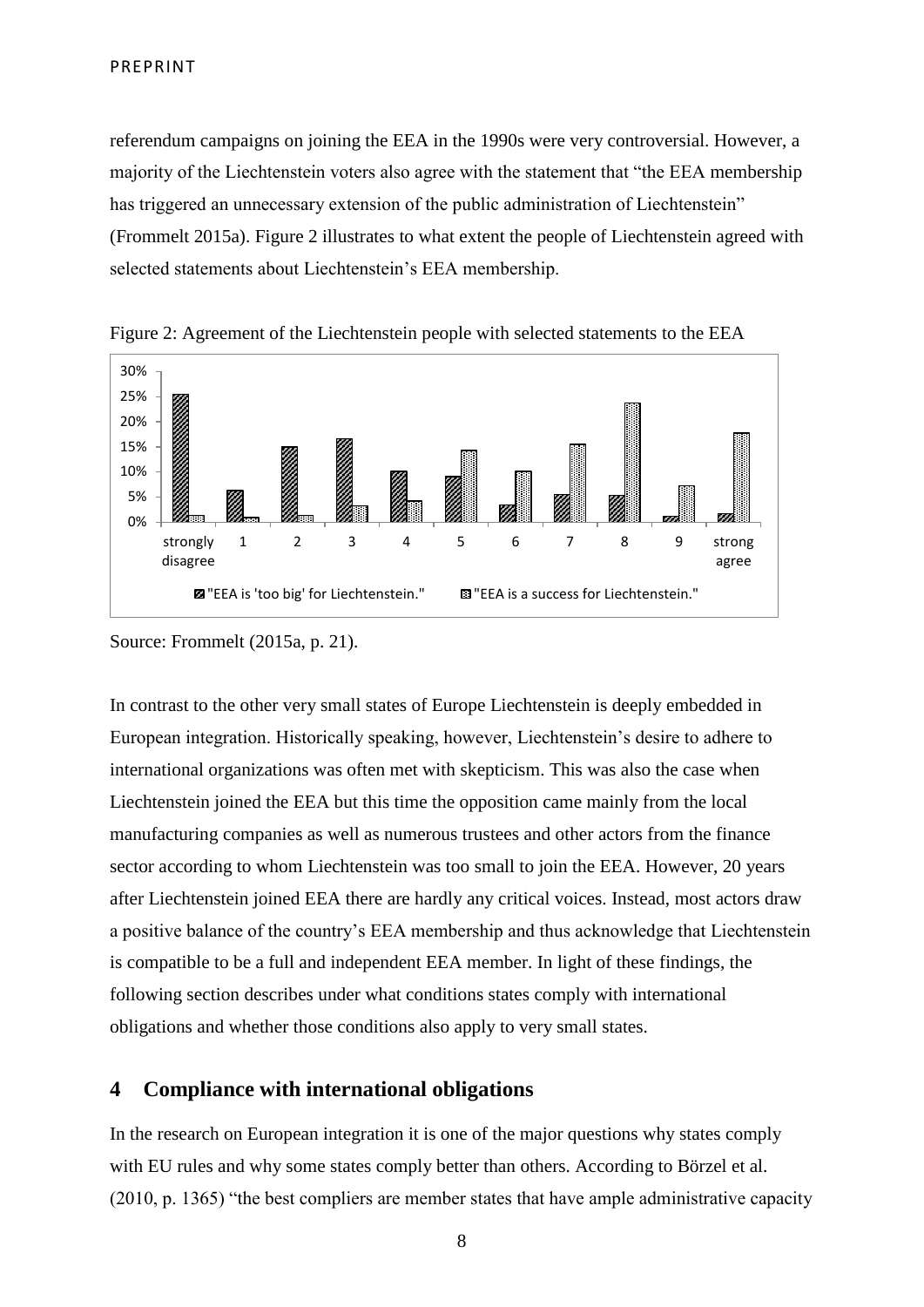referendum campaigns on joining the EEA in the 1990s were very controversial. However, a majority of the Liechtenstein voters also agree with the statement that "the EEA membership has triggered an unnecessary extension of the public administration of Liechtenstein" (Frommelt 2015a). Figure 2 illustrates to what extent the people of Liechtenstein agreed with selected statements about Liechtenstein's EEA membership.





In contrast to the other very small states of Europe Liechtenstein is deeply embedded in European integration. Historically speaking, however, Liechtenstein's desire to adhere to international organizations was often met with skepticism. This was also the case when Liechtenstein joined the EEA but this time the opposition came mainly from the local manufacturing companies as well as numerous trustees and other actors from the finance sector according to whom Liechtenstein was too small to join the EEA. However, 20 years after Liechtenstein joined EEA there are hardly any critical voices. Instead, most actors draw a positive balance of the country's EEA membership and thus acknowledge that Liechtenstein is compatible to be a full and independent EEA member. In light of these findings, the following section describes under what conditions states comply with international obligations and whether those conditions also apply to very small states.

# **4 Compliance with international obligations**

In the research on European integration it is one of the major questions why states comply with EU rules and why some states comply better than others. According to Börzel et al. (2010, p. 1365) "the best compliers are member states that have ample administrative capacity

Source: Frommelt (2015a, p. 21).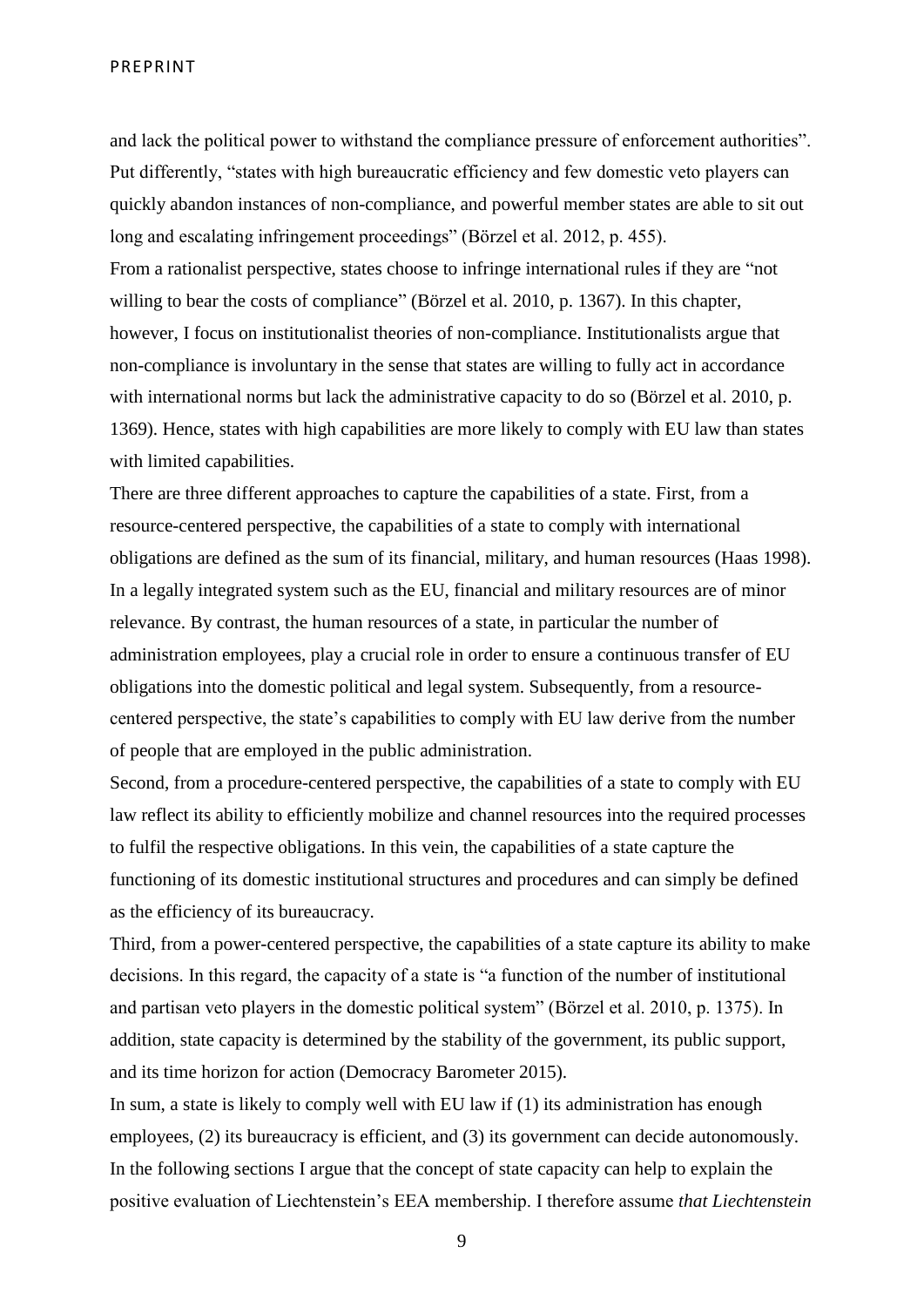and lack the political power to withstand the compliance pressure of enforcement authorities". Put differently, "states with high bureaucratic efficiency and few domestic veto players can quickly abandon instances of non-compliance, and powerful member states are able to sit out long and escalating infringement proceedings" (Börzel et al. 2012, p. 455). From a rationalist perspective, states choose to infringe international rules if they are "not willing to bear the costs of compliance" (Börzel et al. 2010, p. 1367). In this chapter, however, I focus on institutionalist theories of non-compliance. Institutionalists argue that non-compliance is involuntary in the sense that states are willing to fully act in accordance with international norms but lack the administrative capacity to do so (Börzel et al. 2010, p. 1369). Hence, states with high capabilities are more likely to comply with EU law than states with limited capabilities.

There are three different approaches to capture the capabilities of a state. First, from a resource-centered perspective, the capabilities of a state to comply with international obligations are defined as the sum of its financial, military, and human resources (Haas 1998). In a legally integrated system such as the EU, financial and military resources are of minor relevance. By contrast, the human resources of a state, in particular the number of administration employees, play a crucial role in order to ensure a continuous transfer of EU obligations into the domestic political and legal system. Subsequently, from a resourcecentered perspective, the state's capabilities to comply with EU law derive from the number of people that are employed in the public administration.

Second, from a procedure-centered perspective, the capabilities of a state to comply with EU law reflect its ability to efficiently mobilize and channel resources into the required processes to fulfil the respective obligations. In this vein, the capabilities of a state capture the functioning of its domestic institutional structures and procedures and can simply be defined as the efficiency of its bureaucracy.

Third, from a power-centered perspective, the capabilities of a state capture its ability to make decisions. In this regard, the capacity of a state is "a function of the number of institutional and partisan veto players in the domestic political system" (Börzel et al. 2010, p. 1375). In addition, state capacity is determined by the stability of the government, its public support, and its time horizon for action (Democracy Barometer 2015).

In sum, a state is likely to comply well with EU law if (1) its administration has enough employees, (2) its bureaucracy is efficient, and (3) its government can decide autonomously. In the following sections I argue that the concept of state capacity can help to explain the positive evaluation of Liechtenstein's EEA membership. I therefore assume *that Liechtenstein*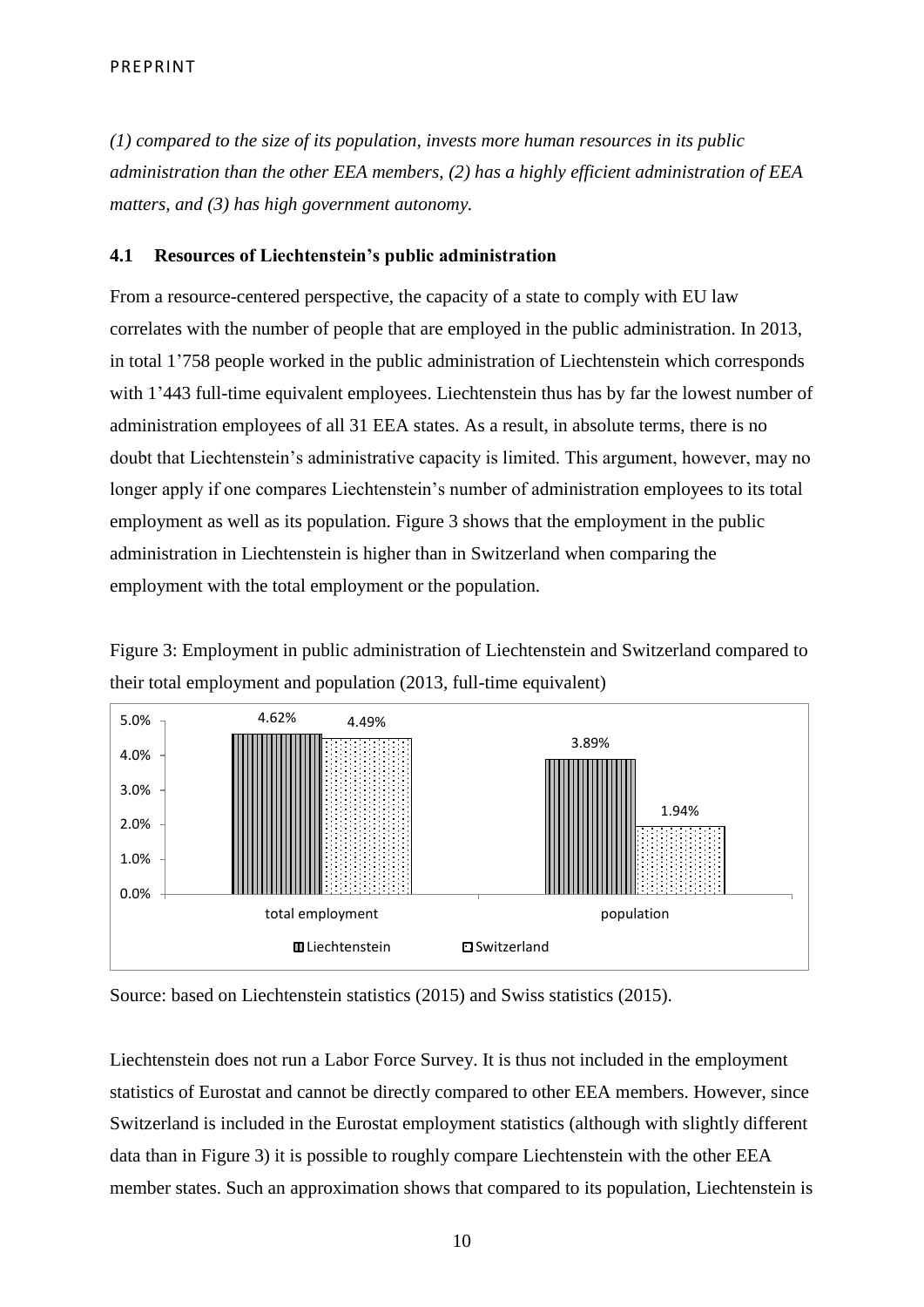*(1) compared to the size of its population, invests more human resources in its public administration than the other EEA members, (2) has a highly efficient administration of EEA matters, and (3) has high government autonomy.* 

## **4.1 Resources of Liechtenstein's public administration**

From a resource-centered perspective, the capacity of a state to comply with EU law correlates with the number of people that are employed in the public administration. In 2013, in total 1'758 people worked in the public administration of Liechtenstein which corresponds with 1'443 full-time equivalent employees. Liechtenstein thus has by far the lowest number of administration employees of all 31 EEA states. As a result, in absolute terms, there is no doubt that Liechtenstein's administrative capacity is limited. This argument, however, may no longer apply if one compares Liechtenstein's number of administration employees to its total employment as well as its population. Figure 3 shows that the employment in the public administration in Liechtenstein is higher than in Switzerland when comparing the employment with the total employment or the population.

Figure 3: Employment in public administration of Liechtenstein and Switzerland compared to their total employment and population (2013, full-time equivalent)



Source: based on Liechtenstein statistics (2015) and Swiss statistics (2015).

Liechtenstein does not run a Labor Force Survey. It is thus not included in the employment statistics of Eurostat and cannot be directly compared to other EEA members. However, since Switzerland is included in the Eurostat employment statistics (although with slightly different data than in Figure 3) it is possible to roughly compare Liechtenstein with the other EEA member states. Such an approximation shows that compared to its population, Liechtenstein is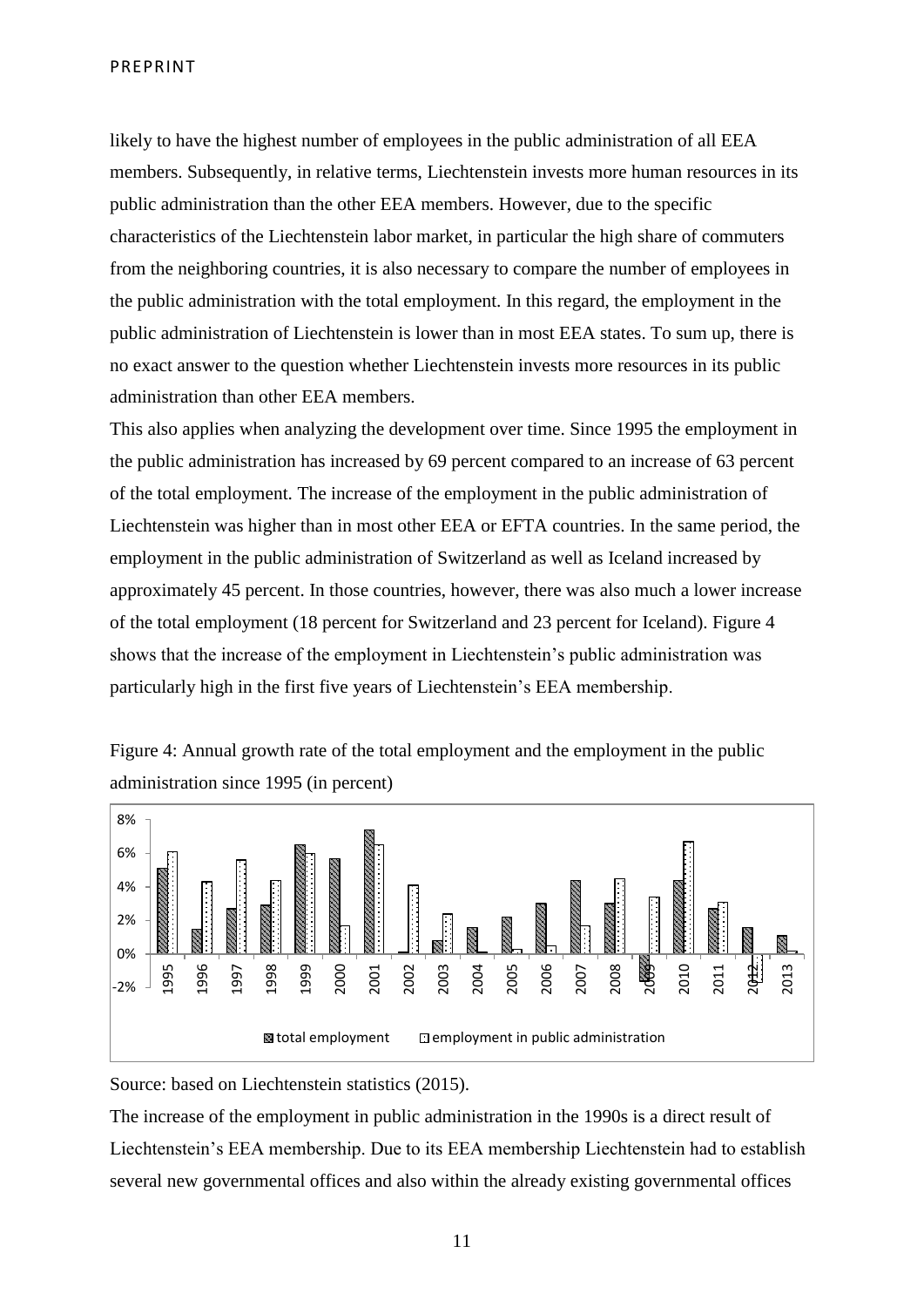likely to have the highest number of employees in the public administration of all EEA members. Subsequently, in relative terms, Liechtenstein invests more human resources in its public administration than the other EEA members. However, due to the specific characteristics of the Liechtenstein labor market, in particular the high share of commuters from the neighboring countries, it is also necessary to compare the number of employees in the public administration with the total employment. In this regard, the employment in the public administration of Liechtenstein is lower than in most EEA states. To sum up, there is no exact answer to the question whether Liechtenstein invests more resources in its public administration than other EEA members.

This also applies when analyzing the development over time. Since 1995 the employment in the public administration has increased by 69 percent compared to an increase of 63 percent of the total employment. The increase of the employment in the public administration of Liechtenstein was higher than in most other EEA or EFTA countries. In the same period, the employment in the public administration of Switzerland as well as Iceland increased by approximately 45 percent. In those countries, however, there was also much a lower increase of the total employment (18 percent for Switzerland and 23 percent for Iceland). Figure 4 shows that the increase of the employment in Liechtenstein's public administration was particularly high in the first five years of Liechtenstein's EEA membership.





Source: based on Liechtenstein statistics (2015).

The increase of the employment in public administration in the 1990s is a direct result of Liechtenstein's EEA membership. Due to its EEA membership Liechtenstein had to establish several new governmental offices and also within the already existing governmental offices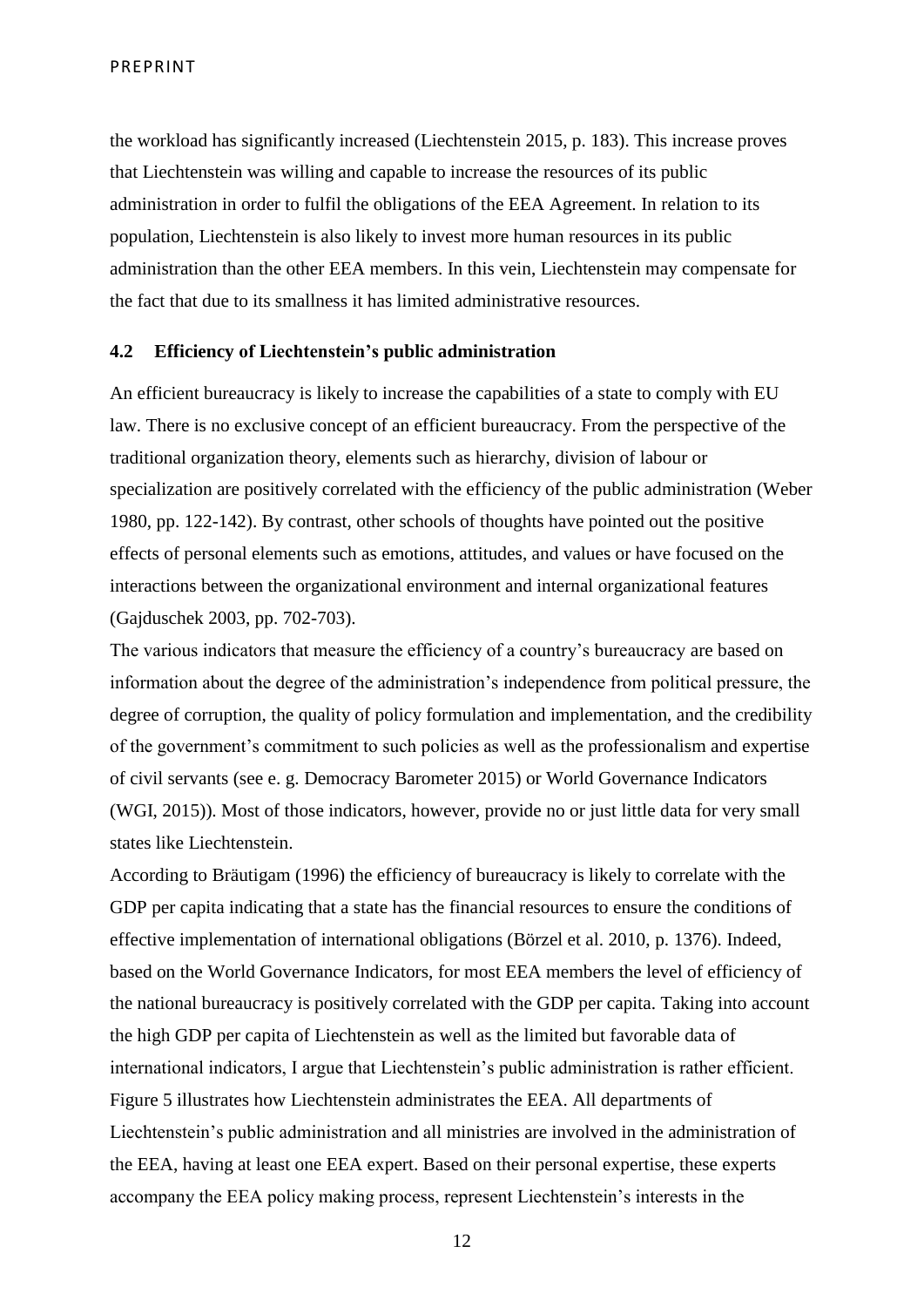the workload has significantly increased (Liechtenstein 2015, p. 183). This increase proves that Liechtenstein was willing and capable to increase the resources of its public administration in order to fulfil the obligations of the EEA Agreement. In relation to its population, Liechtenstein is also likely to invest more human resources in its public administration than the other EEA members. In this vein, Liechtenstein may compensate for the fact that due to its smallness it has limited administrative resources.

## **4.2 Efficiency of Liechtenstein's public administration**

An efficient bureaucracy is likely to increase the capabilities of a state to comply with EU law. There is no exclusive concept of an efficient bureaucracy. From the perspective of the traditional organization theory, elements such as hierarchy, division of labour or specialization are positively correlated with the efficiency of the public administration (Weber 1980, pp. 122-142). By contrast, other schools of thoughts have pointed out the positive effects of personal elements such as emotions, attitudes, and values or have focused on the interactions between the organizational environment and internal organizational features (Gajduschek 2003, pp. 702-703).

The various indicators that measure the efficiency of a country's bureaucracy are based on information about the degree of the administration's independence from political pressure, the degree of corruption, the quality of policy formulation and implementation, and the credibility of the government's commitment to such policies as well as the professionalism and expertise of civil servants (see e. g. Democracy Barometer 2015) or World Governance Indicators (WGI, 2015)). Most of those indicators, however, provide no or just little data for very small states like Liechtenstein.

According to Bräutigam (1996) the efficiency of bureaucracy is likely to correlate with the GDP per capita indicating that a state has the financial resources to ensure the conditions of effective implementation of international obligations (Börzel et al. 2010, p. 1376). Indeed, based on the World Governance Indicators, for most EEA members the level of efficiency of the national bureaucracy is positively correlated with the GDP per capita. Taking into account the high GDP per capita of Liechtenstein as well as the limited but favorable data of international indicators, I argue that Liechtenstein's public administration is rather efficient. Figure 5 illustrates how Liechtenstein administrates the EEA. All departments of Liechtenstein's public administration and all ministries are involved in the administration of the EEA, having at least one EEA expert. Based on their personal expertise, these experts accompany the EEA policy making process, represent Liechtenstein's interests in the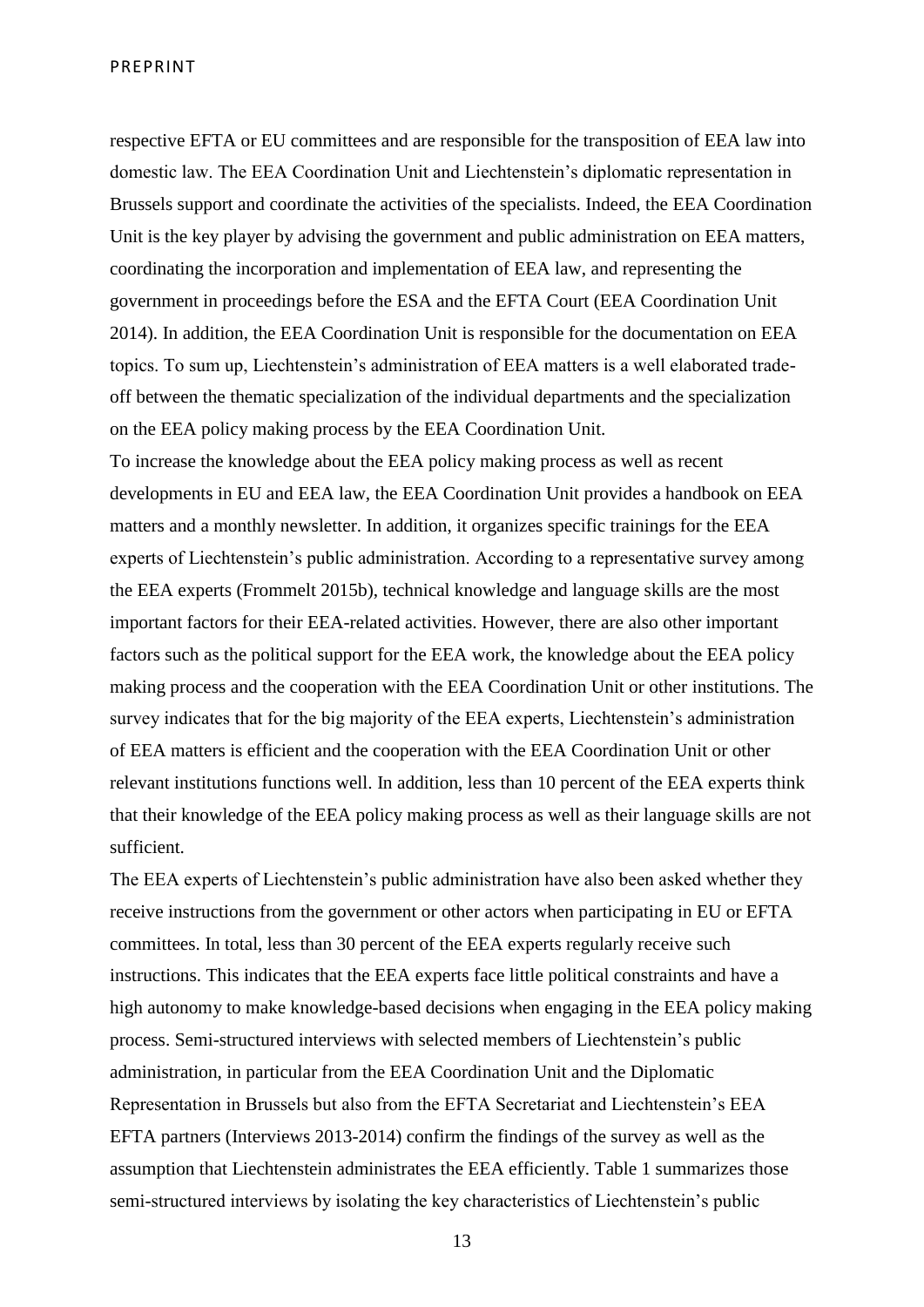respective EFTA or EU committees and are responsible for the transposition of EEA law into domestic law. The EEA Coordination Unit and Liechtenstein's diplomatic representation in Brussels support and coordinate the activities of the specialists. Indeed, the EEA Coordination Unit is the key player by advising the government and public administration on EEA matters, coordinating the incorporation and implementation of EEA law, and representing the government in proceedings before the ESA and the EFTA Court (EEA Coordination Unit 2014). In addition, the EEA Coordination Unit is responsible for the documentation on EEA topics. To sum up, Liechtenstein's administration of EEA matters is a well elaborated tradeoff between the thematic specialization of the individual departments and the specialization on the EEA policy making process by the EEA Coordination Unit.

To increase the knowledge about the EEA policy making process as well as recent developments in EU and EEA law, the EEA Coordination Unit provides a handbook on EEA matters and a monthly newsletter. In addition, it organizes specific trainings for the EEA experts of Liechtenstein's public administration. According to a representative survey among the EEA experts (Frommelt 2015b), technical knowledge and language skills are the most important factors for their EEA-related activities. However, there are also other important factors such as the political support for the EEA work, the knowledge about the EEA policy making process and the cooperation with the EEA Coordination Unit or other institutions. The survey indicates that for the big majority of the EEA experts, Liechtenstein's administration of EEA matters is efficient and the cooperation with the EEA Coordination Unit or other relevant institutions functions well. In addition, less than 10 percent of the EEA experts think that their knowledge of the EEA policy making process as well as their language skills are not sufficient.

The EEA experts of Liechtenstein's public administration have also been asked whether they receive instructions from the government or other actors when participating in EU or EFTA committees. In total, less than 30 percent of the EEA experts regularly receive such instructions. This indicates that the EEA experts face little political constraints and have a high autonomy to make knowledge-based decisions when engaging in the EEA policy making process. Semi-structured interviews with selected members of Liechtenstein's public administration, in particular from the EEA Coordination Unit and the Diplomatic Representation in Brussels but also from the EFTA Secretariat and Liechtenstein's EEA EFTA partners (Interviews 2013-2014) confirm the findings of the survey as well as the assumption that Liechtenstein administrates the EEA efficiently. Table 1 summarizes those semi-structured interviews by isolating the key characteristics of Liechtenstein's public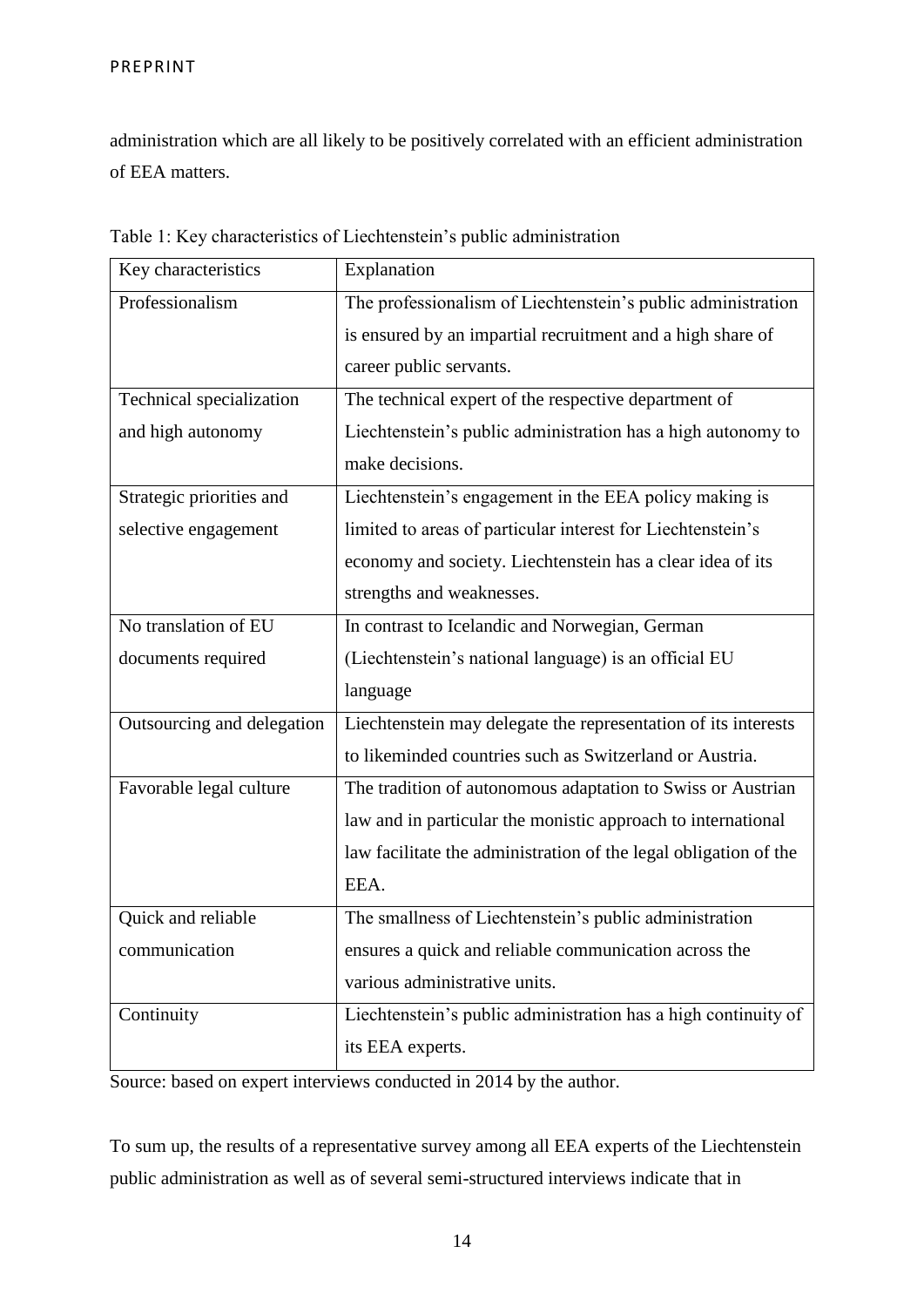administration which are all likely to be positively correlated with an efficient administration of EEA matters.

| Key characteristics        | Explanation                                                      |
|----------------------------|------------------------------------------------------------------|
| Professionalism            | The professionalism of Liechtenstein's public administration     |
|                            | is ensured by an impartial recruitment and a high share of       |
|                            | career public servants.                                          |
| Technical specialization   | The technical expert of the respective department of             |
| and high autonomy          | Liechtenstein's public administration has a high autonomy to     |
|                            | make decisions.                                                  |
| Strategic priorities and   | Liechtenstein's engagement in the EEA policy making is           |
| selective engagement       | limited to areas of particular interest for Liechtenstein's      |
|                            | economy and society. Liechtenstein has a clear idea of its       |
|                            | strengths and weaknesses.                                        |
| No translation of EU       | In contrast to Icelandic and Norwegian, German                   |
| documents required         | (Liechtenstein's national language) is an official EU            |
|                            | language                                                         |
| Outsourcing and delegation | Liechtenstein may delegate the representation of its interests   |
|                            | to likeminded countries such as Switzerland or Austria.          |
| Favorable legal culture    | The tradition of autonomous adaptation to Swiss or Austrian      |
|                            | law and in particular the monistic approach to international     |
|                            | law facilitate the administration of the legal obligation of the |
|                            | EEA.                                                             |
| Quick and reliable         | The smallness of Liechtenstein's public administration           |
| communication              | ensures a quick and reliable communication across the            |
|                            | various administrative units.                                    |
| Continuity                 | Liechtenstein's public administration has a high continuity of   |
|                            | its EEA experts.                                                 |

Table 1: Key characteristics of Liechtenstein's public administration

Source: based on expert interviews conducted in 2014 by the author.

To sum up, the results of a representative survey among all EEA experts of the Liechtenstein public administration as well as of several semi-structured interviews indicate that in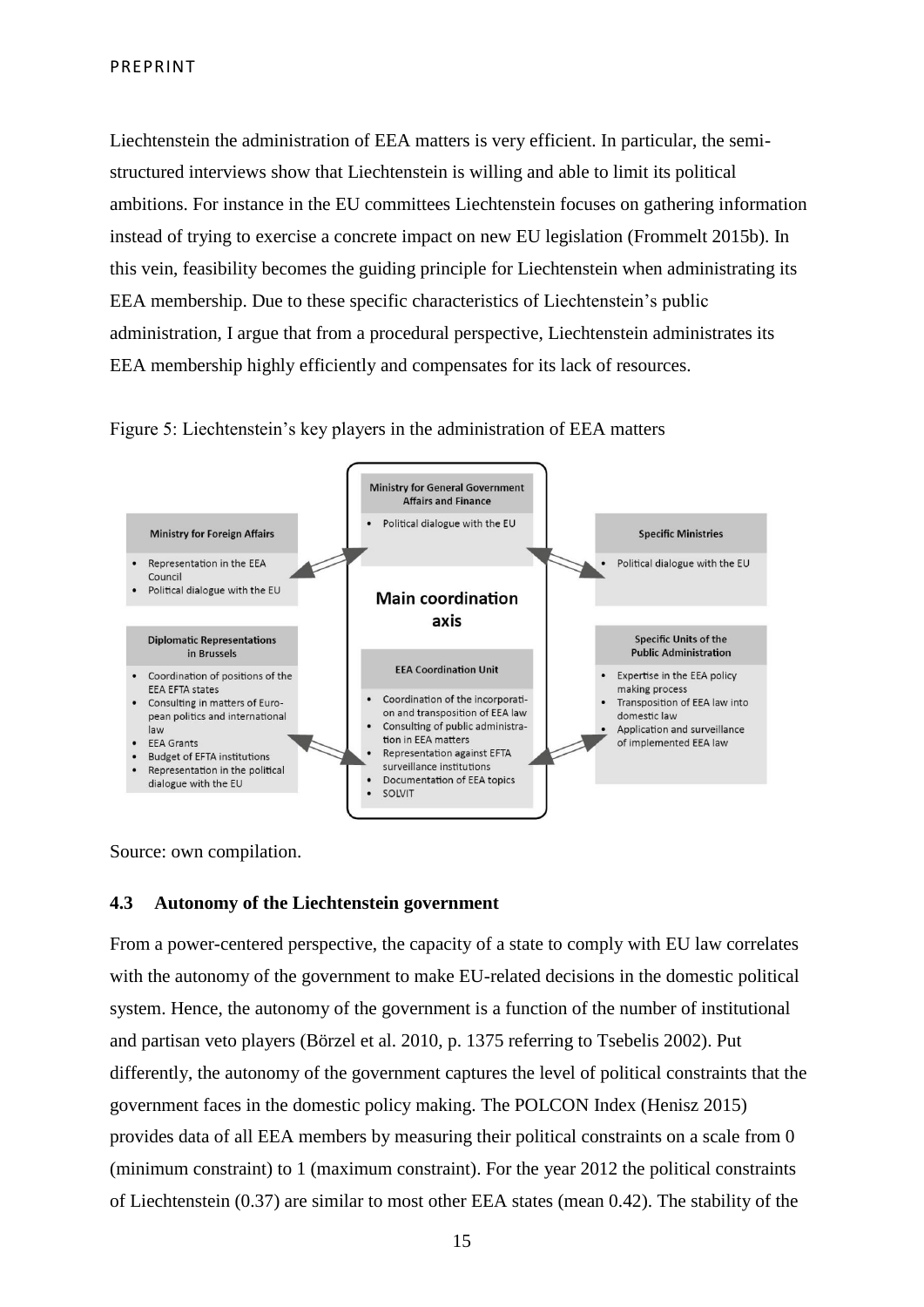Liechtenstein the administration of EEA matters is very efficient. In particular, the semistructured interviews show that Liechtenstein is willing and able to limit its political ambitions. For instance in the EU committees Liechtenstein focuses on gathering information instead of trying to exercise a concrete impact on new EU legislation (Frommelt 2015b). In this vein, feasibility becomes the guiding principle for Liechtenstein when administrating its EEA membership. Due to these specific characteristics of Liechtenstein's public administration, I argue that from a procedural perspective, Liechtenstein administrates its EEA membership highly efficiently and compensates for its lack of resources.





Source: own compilation.

## **4.3 Autonomy of the Liechtenstein government**

From a power-centered perspective, the capacity of a state to comply with EU law correlates with the autonomy of the government to make EU-related decisions in the domestic political system. Hence, the autonomy of the government is a function of the number of institutional and partisan veto players (Börzel et al. 2010, p. 1375 referring to Tsebelis 2002). Put differently, the autonomy of the government captures the level of political constraints that the government faces in the domestic policy making. The POLCON Index (Henisz 2015) provides data of all EEA members by measuring their political constraints on a scale from 0 (minimum constraint) to 1 (maximum constraint). For the year 2012 the political constraints of Liechtenstein (0.37) are similar to most other EEA states (mean 0.42). The stability of the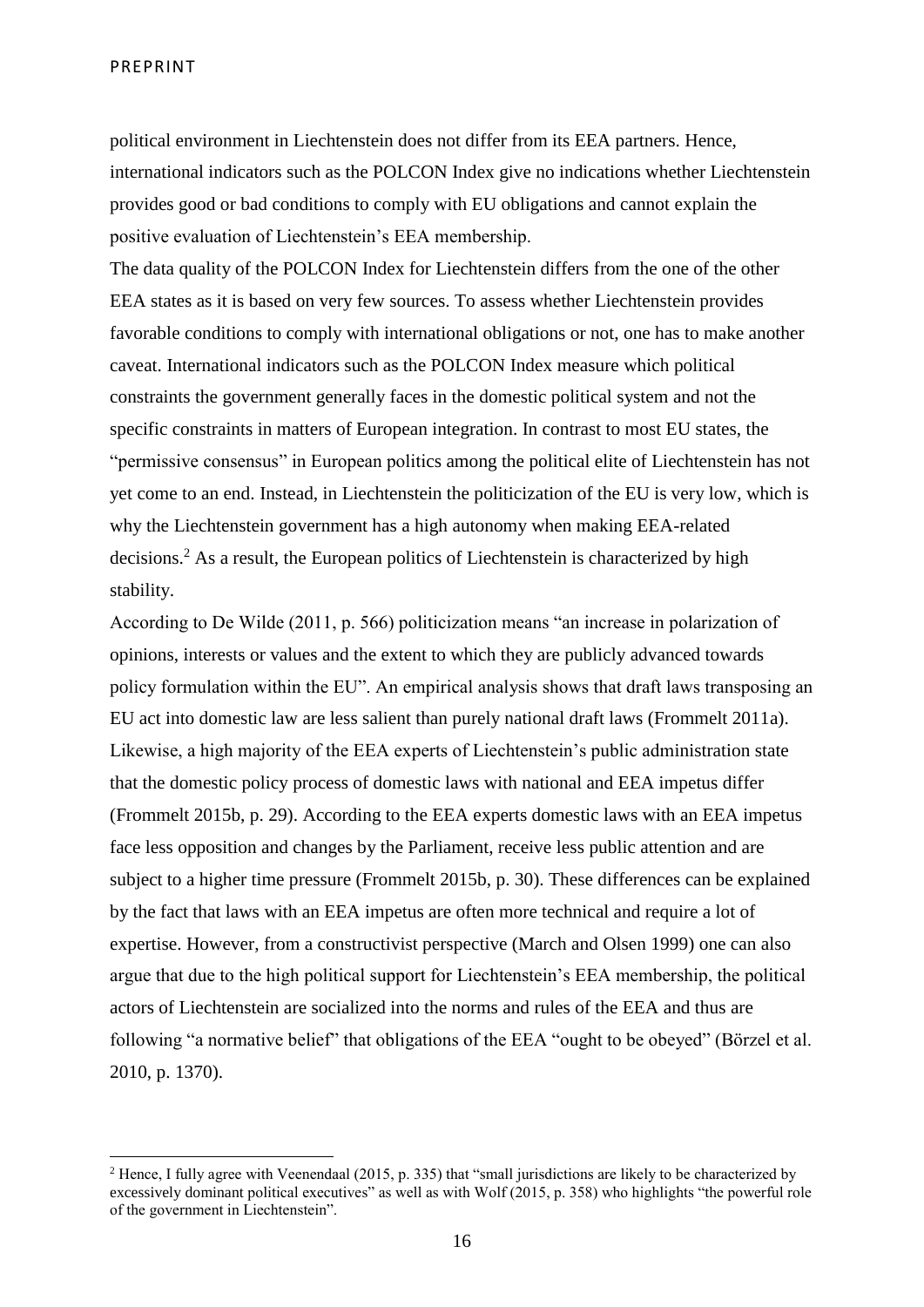<u>.</u>

political environment in Liechtenstein does not differ from its EEA partners. Hence, international indicators such as the POLCON Index give no indications whether Liechtenstein provides good or bad conditions to comply with EU obligations and cannot explain the positive evaluation of Liechtenstein's EEA membership.

The data quality of the POLCON Index for Liechtenstein differs from the one of the other EEA states as it is based on very few sources. To assess whether Liechtenstein provides favorable conditions to comply with international obligations or not, one has to make another caveat. International indicators such as the POLCON Index measure which political constraints the government generally faces in the domestic political system and not the specific constraints in matters of European integration. In contrast to most EU states, the "permissive consensus" in European politics among the political elite of Liechtenstein has not yet come to an end. Instead, in Liechtenstein the politicization of the EU is very low, which is why the Liechtenstein government has a high autonomy when making EEA-related decisions. <sup>2</sup> As a result, the European politics of Liechtenstein is characterized by high stability.

According to De Wilde (2011, p. 566) politicization means "an increase in polarization of opinions, interests or values and the extent to which they are publicly advanced towards policy formulation within the EU". An empirical analysis shows that draft laws transposing an EU act into domestic law are less salient than purely national draft laws (Frommelt 2011a). Likewise, a high majority of the EEA experts of Liechtenstein's public administration state that the domestic policy process of domestic laws with national and EEA impetus differ (Frommelt 2015b, p. 29). According to the EEA experts domestic laws with an EEA impetus face less opposition and changes by the Parliament, receive less public attention and are subject to a higher time pressure (Frommelt 2015b, p. 30). These differences can be explained by the fact that laws with an EEA impetus are often more technical and require a lot of expertise. However, from a constructivist perspective (March and Olsen 1999) one can also argue that due to the high political support for Liechtenstein's EEA membership, the political actors of Liechtenstein are socialized into the norms and rules of the EEA and thus are following "a normative belief" that obligations of the EEA "ought to be obeyed" (Börzel et al. 2010, p. 1370).

<sup>&</sup>lt;sup>2</sup> Hence, I fully agree with Veenendaal (2015, p. 335) that "small jurisdictions are likely to be characterized by excessively dominant political executives" as well as with Wolf (2015, p. 358) who highlights "the powerful role of the government in Liechtenstein".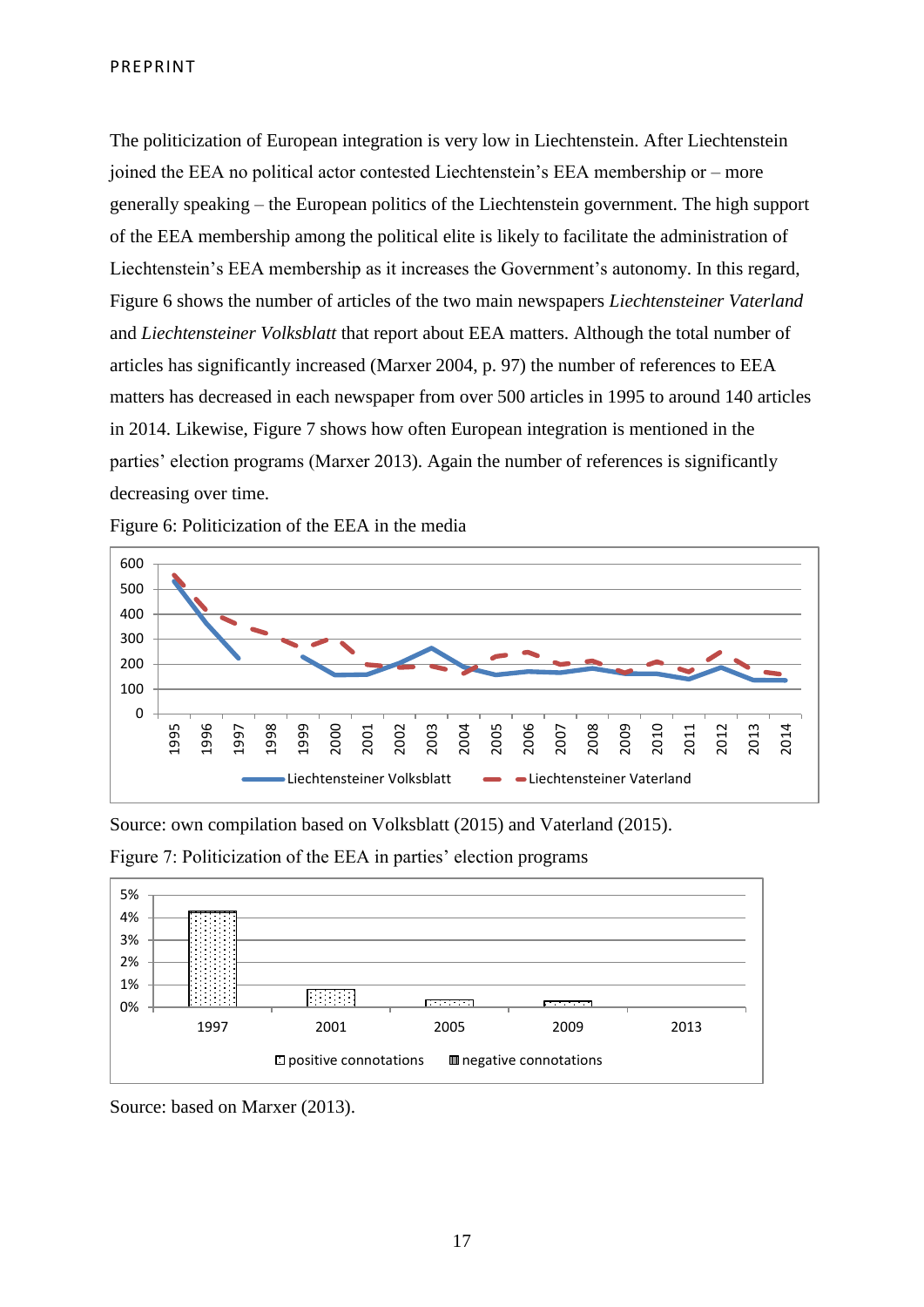The politicization of European integration is very low in Liechtenstein. After Liechtenstein joined the EEA no political actor contested Liechtenstein's EEA membership or – more generally speaking – the European politics of the Liechtenstein government. The high support of the EEA membership among the political elite is likely to facilitate the administration of Liechtenstein's EEA membership as it increases the Government's autonomy. In this regard, Figure 6 shows the number of articles of the two main newspapers *Liechtensteiner Vaterland* and *Liechtensteiner Volksblatt* that report about EEA matters. Although the total number of articles has significantly increased (Marxer 2004, p. 97) the number of references to EEA matters has decreased in each newspaper from over 500 articles in 1995 to around 140 articles in 2014. Likewise, Figure 7 shows how often European integration is mentioned in the parties' election programs (Marxer 2013). Again the number of references is significantly decreasing over time.



Figure 6: Politicization of the EEA in the media

Source: own compilation based on Volksblatt (2015) and Vaterland (2015).

Figure 7: Politicization of the EEA in parties' election programs



Source: based on Marxer (2013).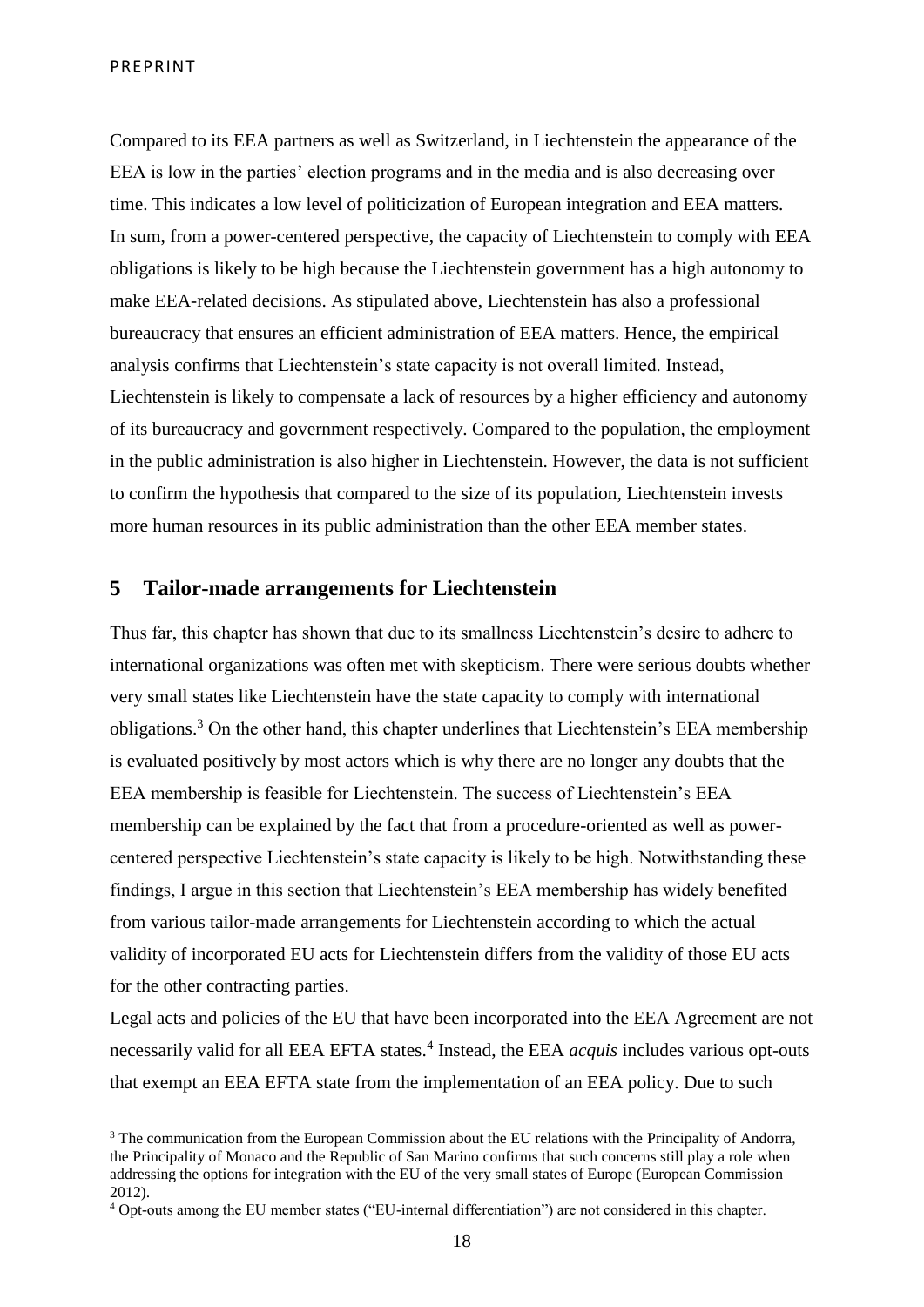1

Compared to its EEA partners as well as Switzerland, in Liechtenstein the appearance of the EEA is low in the parties' election programs and in the media and is also decreasing over time. This indicates a low level of politicization of European integration and EEA matters. In sum, from a power-centered perspective, the capacity of Liechtenstein to comply with EEA obligations is likely to be high because the Liechtenstein government has a high autonomy to make EEA-related decisions. As stipulated above, Liechtenstein has also a professional bureaucracy that ensures an efficient administration of EEA matters. Hence, the empirical analysis confirms that Liechtenstein's state capacity is not overall limited. Instead, Liechtenstein is likely to compensate a lack of resources by a higher efficiency and autonomy of its bureaucracy and government respectively. Compared to the population, the employment in the public administration is also higher in Liechtenstein. However, the data is not sufficient to confirm the hypothesis that compared to the size of its population, Liechtenstein invests more human resources in its public administration than the other EEA member states.

# **5 Tailor-made arrangements for Liechtenstein**

Thus far, this chapter has shown that due to its smallness Liechtenstein's desire to adhere to international organizations was often met with skepticism. There were serious doubts whether very small states like Liechtenstein have the state capacity to comply with international obligations.<sup>3</sup> On the other hand, this chapter underlines that Liechtenstein's EEA membership is evaluated positively by most actors which is why there are no longer any doubts that the EEA membership is feasible for Liechtenstein. The success of Liechtenstein's EEA membership can be explained by the fact that from a procedure-oriented as well as powercentered perspective Liechtenstein's state capacity is likely to be high. Notwithstanding these findings, I argue in this section that Liechtenstein's EEA membership has widely benefited from various tailor-made arrangements for Liechtenstein according to which the actual validity of incorporated EU acts for Liechtenstein differs from the validity of those EU acts for the other contracting parties.

Legal acts and policies of the EU that have been incorporated into the EEA Agreement are not necessarily valid for all EEA EFTA states.<sup>4</sup> Instead, the EEA *acquis* includes various opt-outs that exempt an EEA EFTA state from the implementation of an EEA policy. Due to such

<sup>&</sup>lt;sup>3</sup> The communication from the European Commission about the EU relations with the Principality of Andorra, the Principality of Monaco and the Republic of San Marino confirms that such concerns still play a role when addressing the options for integration with the EU of the very small states of Europe (European Commission 2012).

<sup>4</sup> Opt-outs among the EU member states ("EU-internal differentiation") are not considered in this chapter.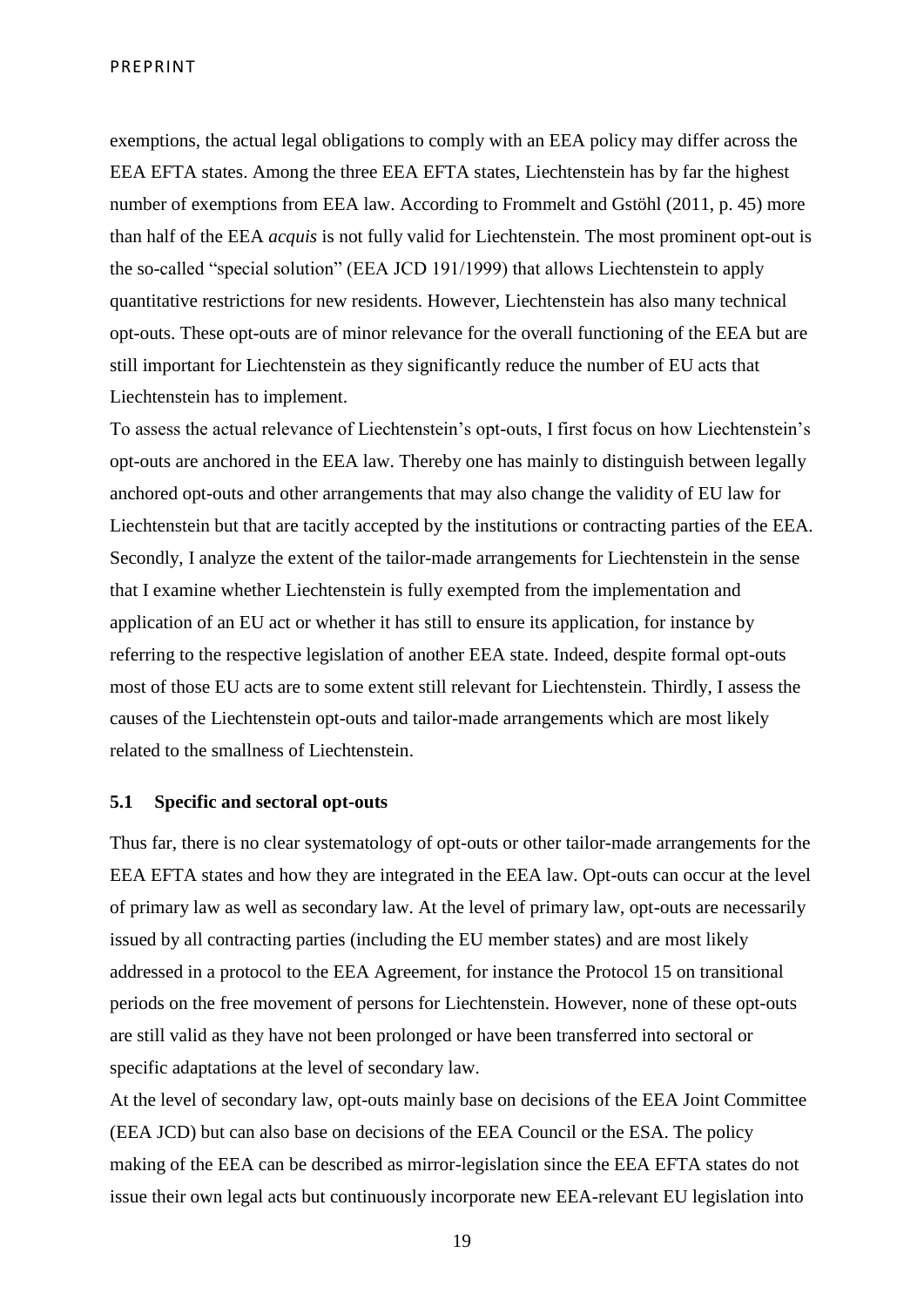exemptions, the actual legal obligations to comply with an EEA policy may differ across the EEA EFTA states. Among the three EEA EFTA states, Liechtenstein has by far the highest number of exemptions from EEA law. According to Frommelt and Gstöhl (2011, p. 45) more than half of the EEA *acquis* is not fully valid for Liechtenstein. The most prominent opt-out is the so-called "special solution" (EEA JCD 191/1999) that allows Liechtenstein to apply quantitative restrictions for new residents. However, Liechtenstein has also many technical opt-outs. These opt-outs are of minor relevance for the overall functioning of the EEA but are still important for Liechtenstein as they significantly reduce the number of EU acts that Liechtenstein has to implement.

To assess the actual relevance of Liechtenstein's opt-outs, I first focus on how Liechtenstein's opt-outs are anchored in the EEA law. Thereby one has mainly to distinguish between legally anchored opt-outs and other arrangements that may also change the validity of EU law for Liechtenstein but that are tacitly accepted by the institutions or contracting parties of the EEA. Secondly, I analyze the extent of the tailor-made arrangements for Liechtenstein in the sense that I examine whether Liechtenstein is fully exempted from the implementation and application of an EU act or whether it has still to ensure its application, for instance by referring to the respective legislation of another EEA state. Indeed, despite formal opt-outs most of those EU acts are to some extent still relevant for Liechtenstein. Thirdly, I assess the causes of the Liechtenstein opt-outs and tailor-made arrangements which are most likely related to the smallness of Liechtenstein.

## **5.1 Specific and sectoral opt-outs**

Thus far, there is no clear systematology of opt-outs or other tailor-made arrangements for the EEA EFTA states and how they are integrated in the EEA law. Opt-outs can occur at the level of primary law as well as secondary law. At the level of primary law, opt-outs are necessarily issued by all contracting parties (including the EU member states) and are most likely addressed in a protocol to the EEA Agreement, for instance the Protocol 15 on transitional periods on the free movement of persons for Liechtenstein. However, none of these opt-outs are still valid as they have not been prolonged or have been transferred into sectoral or specific adaptations at the level of secondary law.

At the level of secondary law, opt-outs mainly base on decisions of the EEA Joint Committee (EEA JCD) but can also base on decisions of the EEA Council or the ESA. The policy making of the EEA can be described as mirror-legislation since the EEA EFTA states do not issue their own legal acts but continuously incorporate new EEA-relevant EU legislation into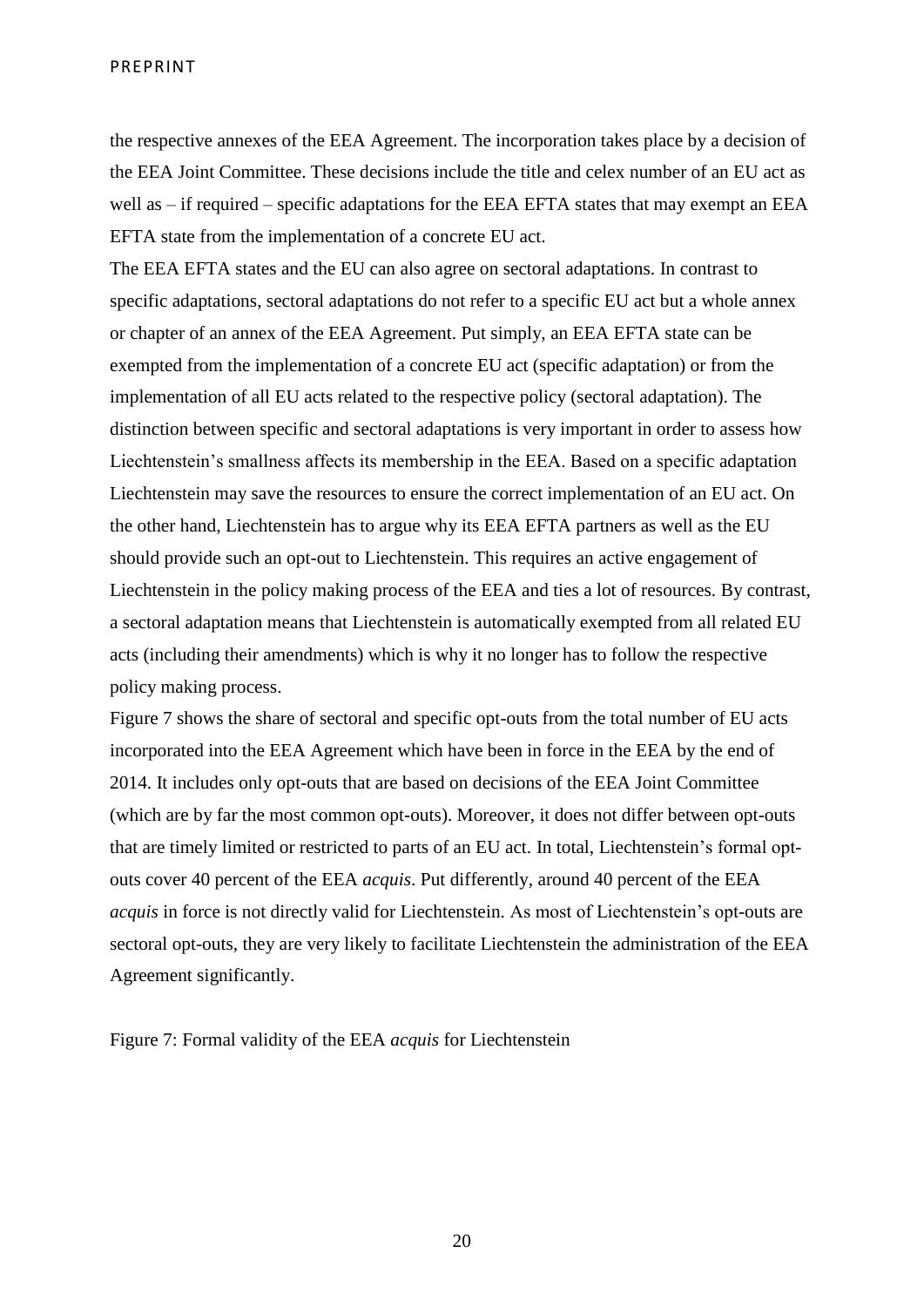the respective annexes of the EEA Agreement. The incorporation takes place by a decision of the EEA Joint Committee. These decisions include the title and celex number of an EU act as well as – if required – specific adaptations for the EEA EFTA states that may exempt an EEA EFTA state from the implementation of a concrete EU act.

The EEA EFTA states and the EU can also agree on sectoral adaptations. In contrast to specific adaptations, sectoral adaptations do not refer to a specific EU act but a whole annex or chapter of an annex of the EEA Agreement. Put simply, an EEA EFTA state can be exempted from the implementation of a concrete EU act (specific adaptation) or from the implementation of all EU acts related to the respective policy (sectoral adaptation). The distinction between specific and sectoral adaptations is very important in order to assess how Liechtenstein's smallness affects its membership in the EEA. Based on a specific adaptation Liechtenstein may save the resources to ensure the correct implementation of an EU act. On the other hand, Liechtenstein has to argue why its EEA EFTA partners as well as the EU should provide such an opt-out to Liechtenstein. This requires an active engagement of Liechtenstein in the policy making process of the EEA and ties a lot of resources. By contrast, a sectoral adaptation means that Liechtenstein is automatically exempted from all related EU acts (including their amendments) which is why it no longer has to follow the respective policy making process.

Figure 7 shows the share of sectoral and specific opt-outs from the total number of EU acts incorporated into the EEA Agreement which have been in force in the EEA by the end of 2014. It includes only opt-outs that are based on decisions of the EEA Joint Committee (which are by far the most common opt-outs). Moreover, it does not differ between opt-outs that are timely limited or restricted to parts of an EU act. In total, Liechtenstein's formal optouts cover 40 percent of the EEA *acquis*. Put differently, around 40 percent of the EEA *acquis* in force is not directly valid for Liechtenstein. As most of Liechtenstein's opt-outs are sectoral opt-outs, they are very likely to facilitate Liechtenstein the administration of the EEA Agreement significantly.

Figure 7: Formal validity of the EEA *acquis* for Liechtenstein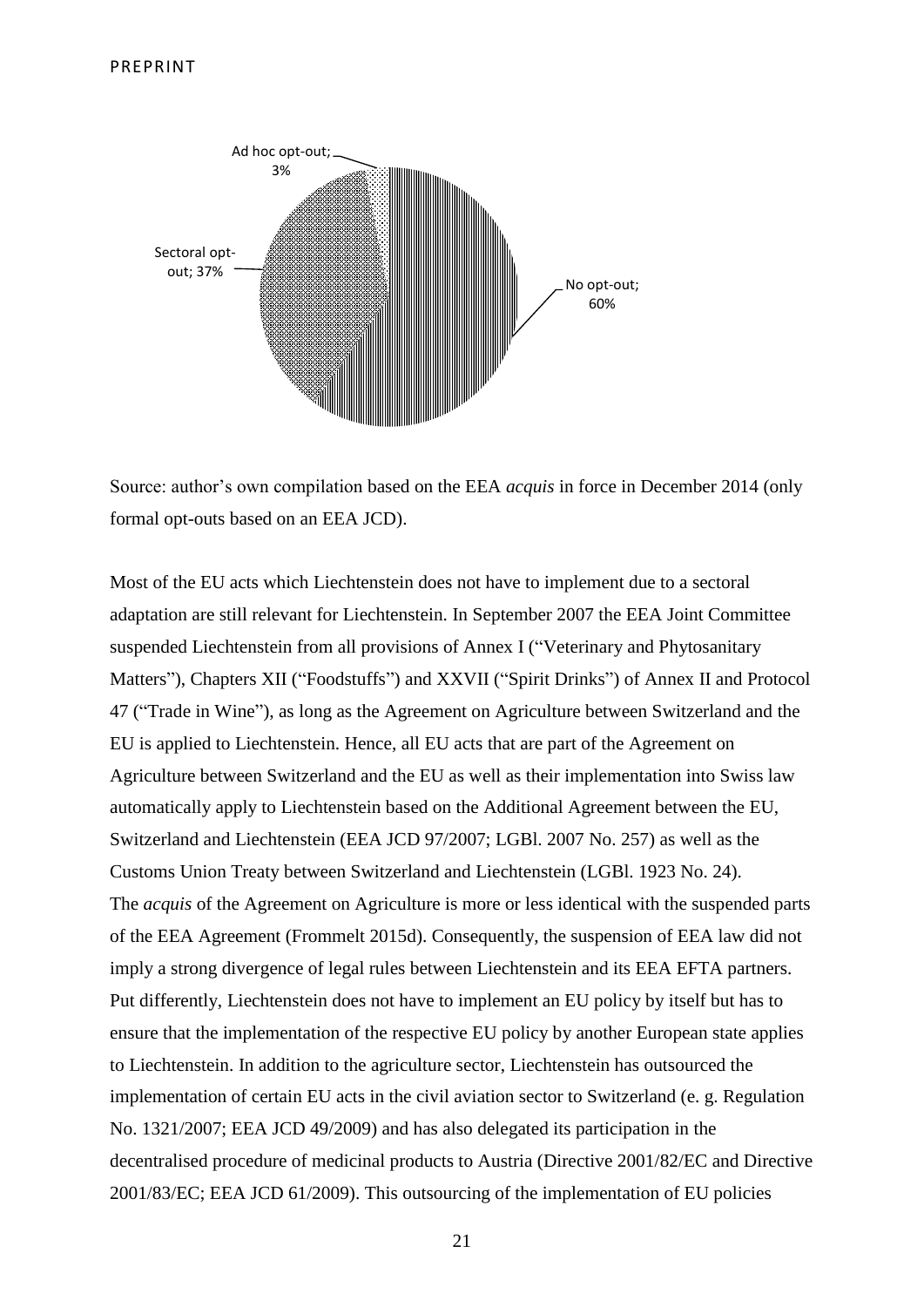

Source: author's own compilation based on the EEA *acquis* in force in December 2014 (only formal opt-outs based on an EEA JCD).

Most of the EU acts which Liechtenstein does not have to implement due to a sectoral adaptation are still relevant for Liechtenstein. In September 2007 the EEA Joint Committee suspended Liechtenstein from all provisions of Annex I ("Veterinary and Phytosanitary Matters"), Chapters XII ("Foodstuffs") and XXVII ("Spirit Drinks") of Annex II and Protocol 47 ("Trade in Wine"), as long as the Agreement on Agriculture between Switzerland and the EU is applied to Liechtenstein. Hence, all EU acts that are part of the Agreement on Agriculture between Switzerland and the EU as well as their implementation into Swiss law automatically apply to Liechtenstein based on the Additional Agreement between the EU, Switzerland and Liechtenstein (EEA JCD 97/2007; LGBl. 2007 No. 257) as well as the Customs Union Treaty between Switzerland and Liechtenstein (LGBl. 1923 No. 24). The *acquis* of the Agreement on Agriculture is more or less identical with the suspended parts of the EEA Agreement (Frommelt 2015d). Consequently, the suspension of EEA law did not imply a strong divergence of legal rules between Liechtenstein and its EEA EFTA partners. Put differently, Liechtenstein does not have to implement an EU policy by itself but has to ensure that the implementation of the respective EU policy by another European state applies to Liechtenstein. In addition to the agriculture sector, Liechtenstein has outsourced the implementation of certain EU acts in the civil aviation sector to Switzerland (e. g. Regulation No. 1321/2007; EEA JCD 49/2009) and has also delegated its participation in the decentralised procedure of medicinal products to Austria (Directive 2001/82/EC and Directive 2001/83/EC; EEA JCD 61/2009). This outsourcing of the implementation of EU policies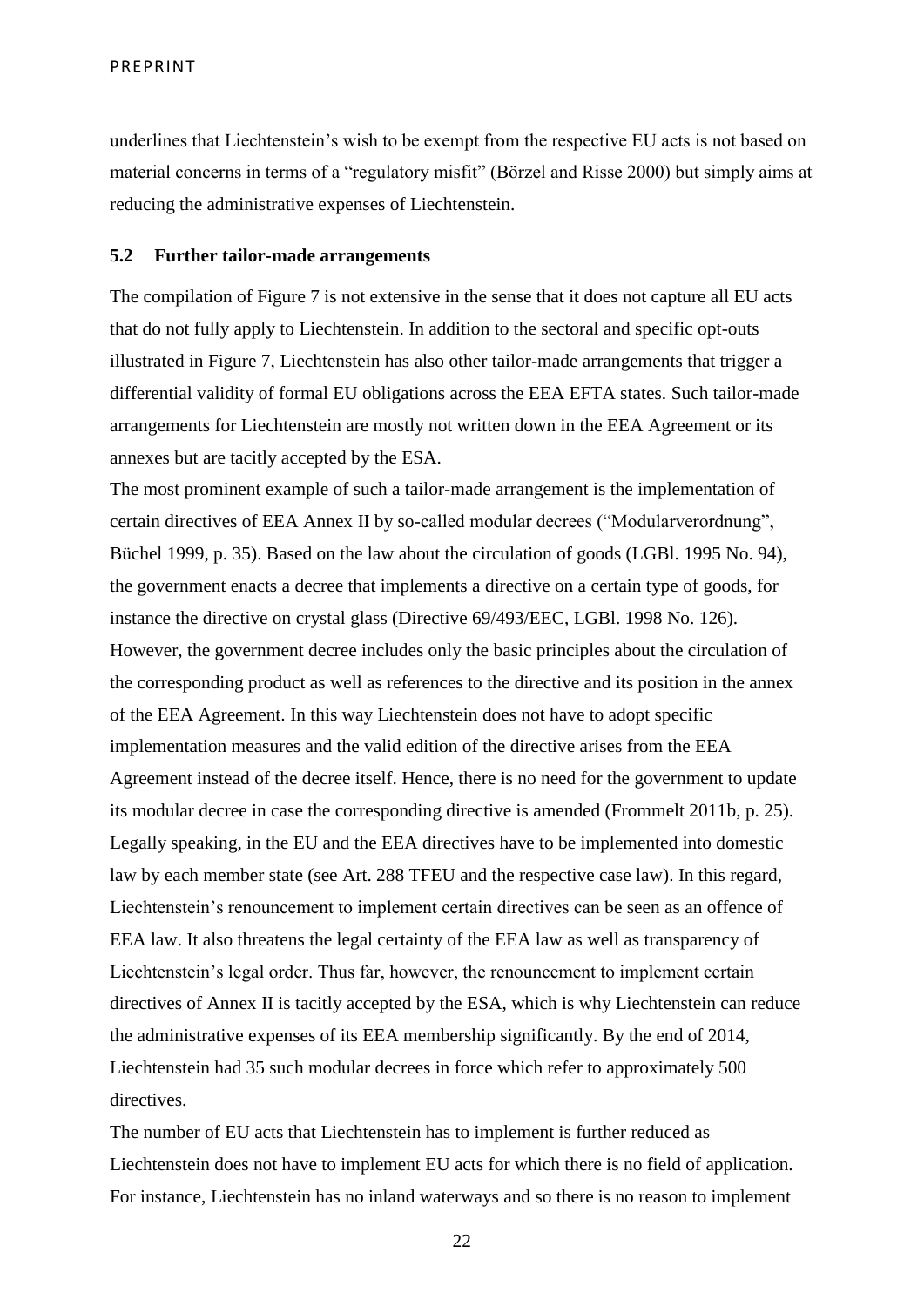underlines that Liechtenstein's wish to be exempt from the respective EU acts is not based on material concerns in terms of a "regulatory misfit" (Börzel and Risse 2000) but simply aims at reducing the administrative expenses of Liechtenstein.

## **5.2 Further tailor-made arrangements**

The compilation of Figure 7 is not extensive in the sense that it does not capture all EU acts that do not fully apply to Liechtenstein. In addition to the sectoral and specific opt-outs illustrated in Figure 7, Liechtenstein has also other tailor-made arrangements that trigger a differential validity of formal EU obligations across the EEA EFTA states. Such tailor-made arrangements for Liechtenstein are mostly not written down in the EEA Agreement or its annexes but are tacitly accepted by the ESA.

The most prominent example of such a tailor-made arrangement is the implementation of certain directives of EEA Annex II by so-called modular decrees ("Modularverordnung", Büchel 1999, p. 35). Based on the law about the circulation of goods (LGBl. 1995 No. 94), the government enacts a decree that implements a directive on a certain type of goods, for instance the directive on crystal glass (Directive 69/493/EEC, LGBl. 1998 No. 126). However, the government decree includes only the basic principles about the circulation of the corresponding product as well as references to the directive and its position in the annex of the EEA Agreement. In this way Liechtenstein does not have to adopt specific implementation measures and the valid edition of the directive arises from the EEA Agreement instead of the decree itself. Hence, there is no need for the government to update its modular decree in case the corresponding directive is amended (Frommelt 2011b, p. 25). Legally speaking, in the EU and the EEA directives have to be implemented into domestic law by each member state (see Art. 288 TFEU and the respective case law). In this regard, Liechtenstein's renouncement to implement certain directives can be seen as an offence of EEA law. It also threatens the legal certainty of the EEA law as well as transparency of Liechtenstein's legal order. Thus far, however, the renouncement to implement certain directives of Annex II is tacitly accepted by the ESA, which is why Liechtenstein can reduce the administrative expenses of its EEA membership significantly. By the end of 2014, Liechtenstein had 35 such modular decrees in force which refer to approximately 500 directives.

The number of EU acts that Liechtenstein has to implement is further reduced as Liechtenstein does not have to implement EU acts for which there is no field of application. For instance, Liechtenstein has no inland waterways and so there is no reason to implement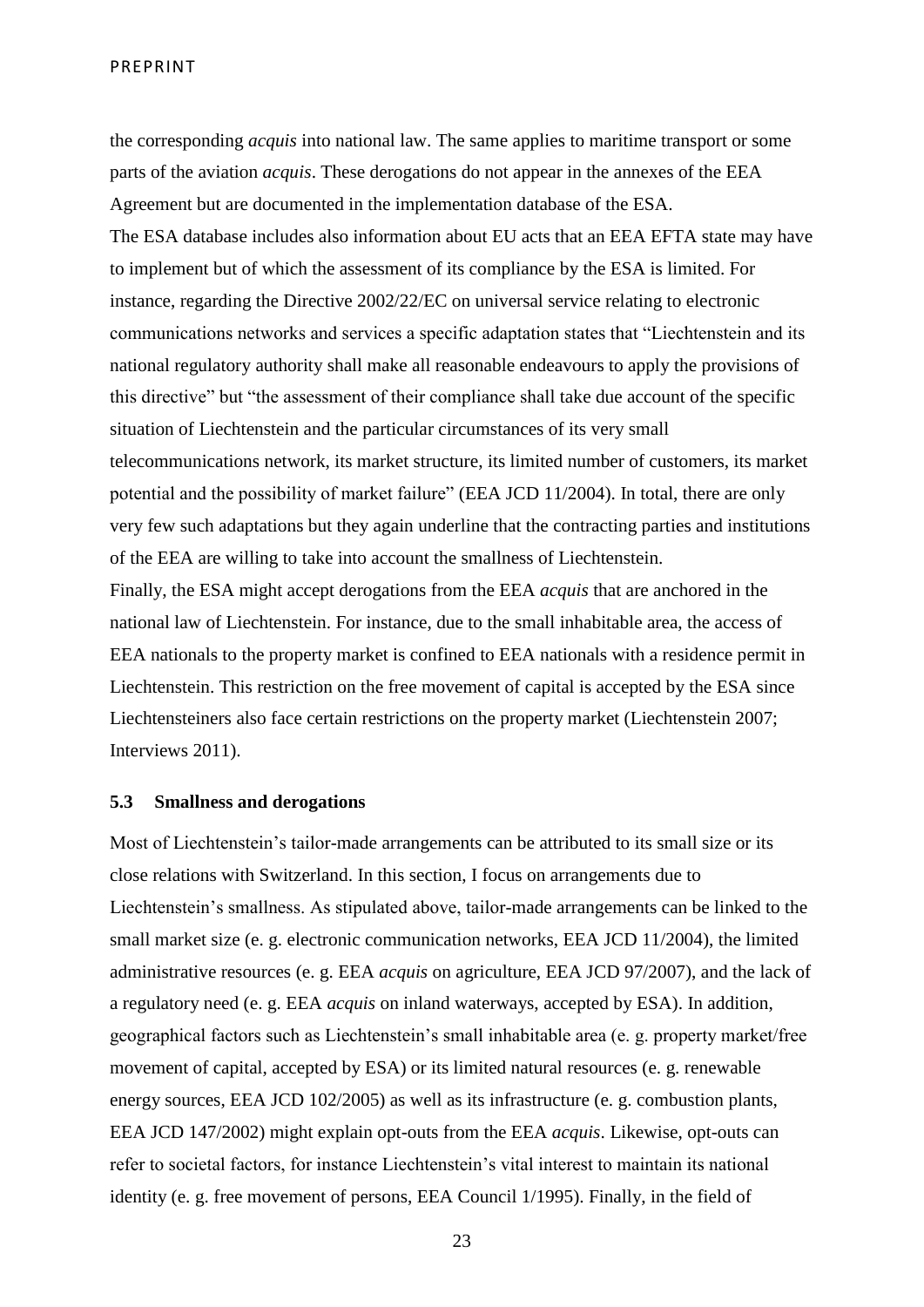the corresponding *acquis* into national law. The same applies to maritime transport or some parts of the aviation *acquis*. These derogations do not appear in the annexes of the EEA Agreement but are documented in the implementation database of the ESA. The ESA database includes also information about EU acts that an EEA EFTA state may have to implement but of which the assessment of its compliance by the ESA is limited. For instance, regarding the Directive 2002/22/EC on universal service relating to electronic communications networks and services a specific adaptation states that "Liechtenstein and its national regulatory authority shall make all reasonable endeavours to apply the provisions of this directive" but "the assessment of their compliance shall take due account of the specific situation of Liechtenstein and the particular circumstances of its very small telecommunications network, its market structure, its limited number of customers, its market potential and the possibility of market failure" (EEA JCD 11/2004). In total, there are only very few such adaptations but they again underline that the contracting parties and institutions of the EEA are willing to take into account the smallness of Liechtenstein. Finally, the ESA might accept derogations from the EEA *acquis* that are anchored in the national law of Liechtenstein. For instance, due to the small inhabitable area, the access of EEA nationals to the property market is confined to EEA nationals with a residence permit in Liechtenstein. This restriction on the free movement of capital is accepted by the ESA since Liechtensteiners also face certain restrictions on the property market (Liechtenstein 2007; Interviews 2011).

## **5.3 Smallness and derogations**

Most of Liechtenstein's tailor-made arrangements can be attributed to its small size or its close relations with Switzerland. In this section, I focus on arrangements due to Liechtenstein's smallness. As stipulated above, tailor-made arrangements can be linked to the small market size (e. g. electronic communication networks, EEA JCD 11/2004), the limited administrative resources (e. g. EEA *acquis* on agriculture, EEA JCD 97/2007), and the lack of a regulatory need (e. g. EEA *acquis* on inland waterways, accepted by ESA). In addition, geographical factors such as Liechtenstein's small inhabitable area (e. g. property market/free movement of capital, accepted by ESA) or its limited natural resources (e. g. renewable energy sources, EEA JCD 102/2005) as well as its infrastructure (e. g. combustion plants, EEA JCD 147/2002) might explain opt-outs from the EEA *acquis*. Likewise, opt-outs can refer to societal factors, for instance Liechtenstein's vital interest to maintain its national identity (e. g. free movement of persons, EEA Council 1/1995). Finally, in the field of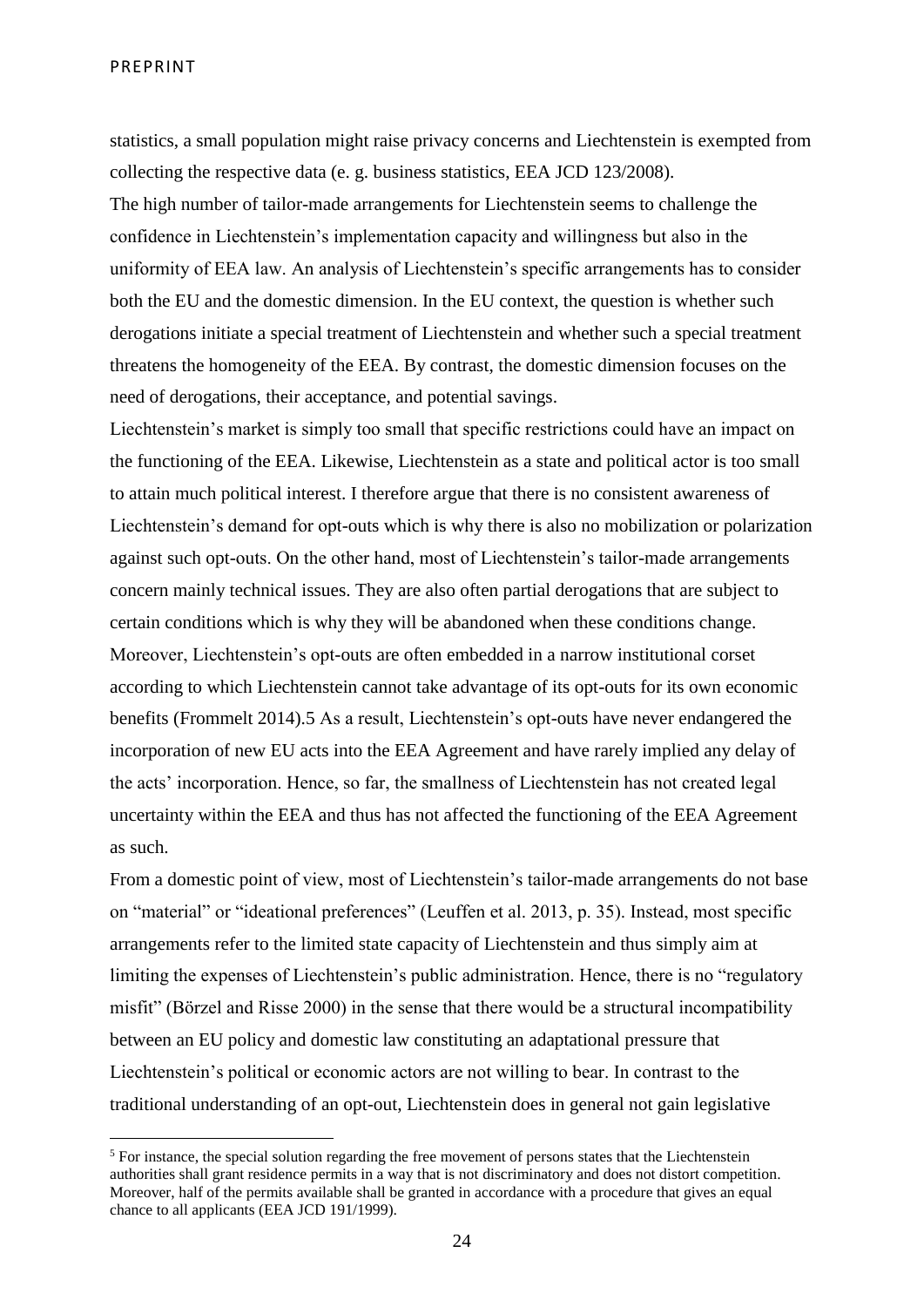1

statistics, a small population might raise privacy concerns and Liechtenstein is exempted from collecting the respective data (e. g. business statistics, EEA JCD 123/2008).

The high number of tailor-made arrangements for Liechtenstein seems to challenge the confidence in Liechtenstein's implementation capacity and willingness but also in the uniformity of EEA law. An analysis of Liechtenstein's specific arrangements has to consider both the EU and the domestic dimension. In the EU context, the question is whether such derogations initiate a special treatment of Liechtenstein and whether such a special treatment threatens the homogeneity of the EEA. By contrast, the domestic dimension focuses on the need of derogations, their acceptance, and potential savings.

Liechtenstein's market is simply too small that specific restrictions could have an impact on the functioning of the EEA. Likewise, Liechtenstein as a state and political actor is too small to attain much political interest. I therefore argue that there is no consistent awareness of Liechtenstein's demand for opt-outs which is why there is also no mobilization or polarization against such opt-outs. On the other hand, most of Liechtenstein's tailor-made arrangements concern mainly technical issues. They are also often partial derogations that are subject to certain conditions which is why they will be abandoned when these conditions change. Moreover, Liechtenstein's opt-outs are often embedded in a narrow institutional corset according to which Liechtenstein cannot take advantage of its opt-outs for its own economic benefits (Frommelt 2014).5 As a result, Liechtenstein's opt-outs have never endangered the incorporation of new EU acts into the EEA Agreement and have rarely implied any delay of the acts' incorporation. Hence, so far, the smallness of Liechtenstein has not created legal uncertainty within the EEA and thus has not affected the functioning of the EEA Agreement as such.

From a domestic point of view, most of Liechtenstein's tailor-made arrangements do not base on "material" or "ideational preferences" (Leuffen et al. 2013, p. 35). Instead, most specific arrangements refer to the limited state capacity of Liechtenstein and thus simply aim at limiting the expenses of Liechtenstein's public administration. Hence, there is no "regulatory misfit" (Börzel and Risse 2000) in the sense that there would be a structural incompatibility between an EU policy and domestic law constituting an adaptational pressure that Liechtenstein's political or economic actors are not willing to bear. In contrast to the traditional understanding of an opt-out, Liechtenstein does in general not gain legislative

<sup>&</sup>lt;sup>5</sup> For instance, the special solution regarding the free movement of persons states that the Liechtenstein authorities shall grant residence permits in a way that is not discriminatory and does not distort competition. Moreover, half of the permits available shall be granted in accordance with a procedure that gives an equal chance to all applicants (EEA JCD 191/1999).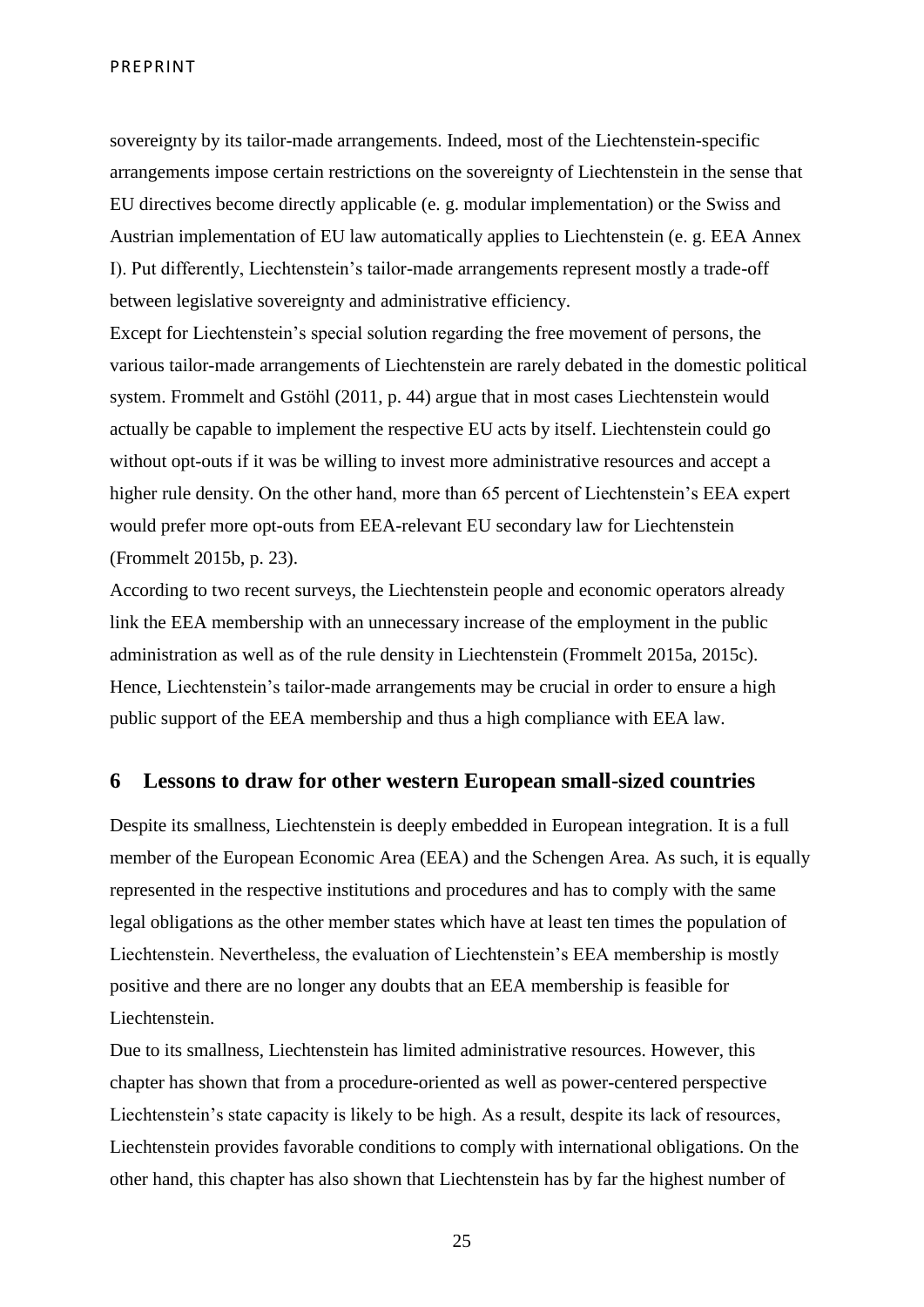sovereignty by its tailor-made arrangements. Indeed, most of the Liechtenstein-specific arrangements impose certain restrictions on the sovereignty of Liechtenstein in the sense that EU directives become directly applicable (e. g. modular implementation) or the Swiss and Austrian implementation of EU law automatically applies to Liechtenstein (e. g. EEA Annex I). Put differently, Liechtenstein's tailor-made arrangements represent mostly a trade-off between legislative sovereignty and administrative efficiency.

Except for Liechtenstein's special solution regarding the free movement of persons, the various tailor-made arrangements of Liechtenstein are rarely debated in the domestic political system. Frommelt and Gstöhl (2011, p. 44) argue that in most cases Liechtenstein would actually be capable to implement the respective EU acts by itself. Liechtenstein could go without opt-outs if it was be willing to invest more administrative resources and accept a higher rule density. On the other hand, more than 65 percent of Liechtenstein's EEA expert would prefer more opt-outs from EEA-relevant EU secondary law for Liechtenstein (Frommelt 2015b, p. 23).

According to two recent surveys, the Liechtenstein people and economic operators already link the EEA membership with an unnecessary increase of the employment in the public administration as well as of the rule density in Liechtenstein (Frommelt 2015a, 2015c). Hence, Liechtenstein's tailor-made arrangements may be crucial in order to ensure a high public support of the EEA membership and thus a high compliance with EEA law.

## **6 Lessons to draw for other western European small-sized countries**

Despite its smallness, Liechtenstein is deeply embedded in European integration. It is a full member of the European Economic Area (EEA) and the Schengen Area. As such, it is equally represented in the respective institutions and procedures and has to comply with the same legal obligations as the other member states which have at least ten times the population of Liechtenstein. Nevertheless, the evaluation of Liechtenstein's EEA membership is mostly positive and there are no longer any doubts that an EEA membership is feasible for Liechtenstein.

Due to its smallness, Liechtenstein has limited administrative resources. However, this chapter has shown that from a procedure-oriented as well as power-centered perspective Liechtenstein's state capacity is likely to be high. As a result, despite its lack of resources, Liechtenstein provides favorable conditions to comply with international obligations. On the other hand, this chapter has also shown that Liechtenstein has by far the highest number of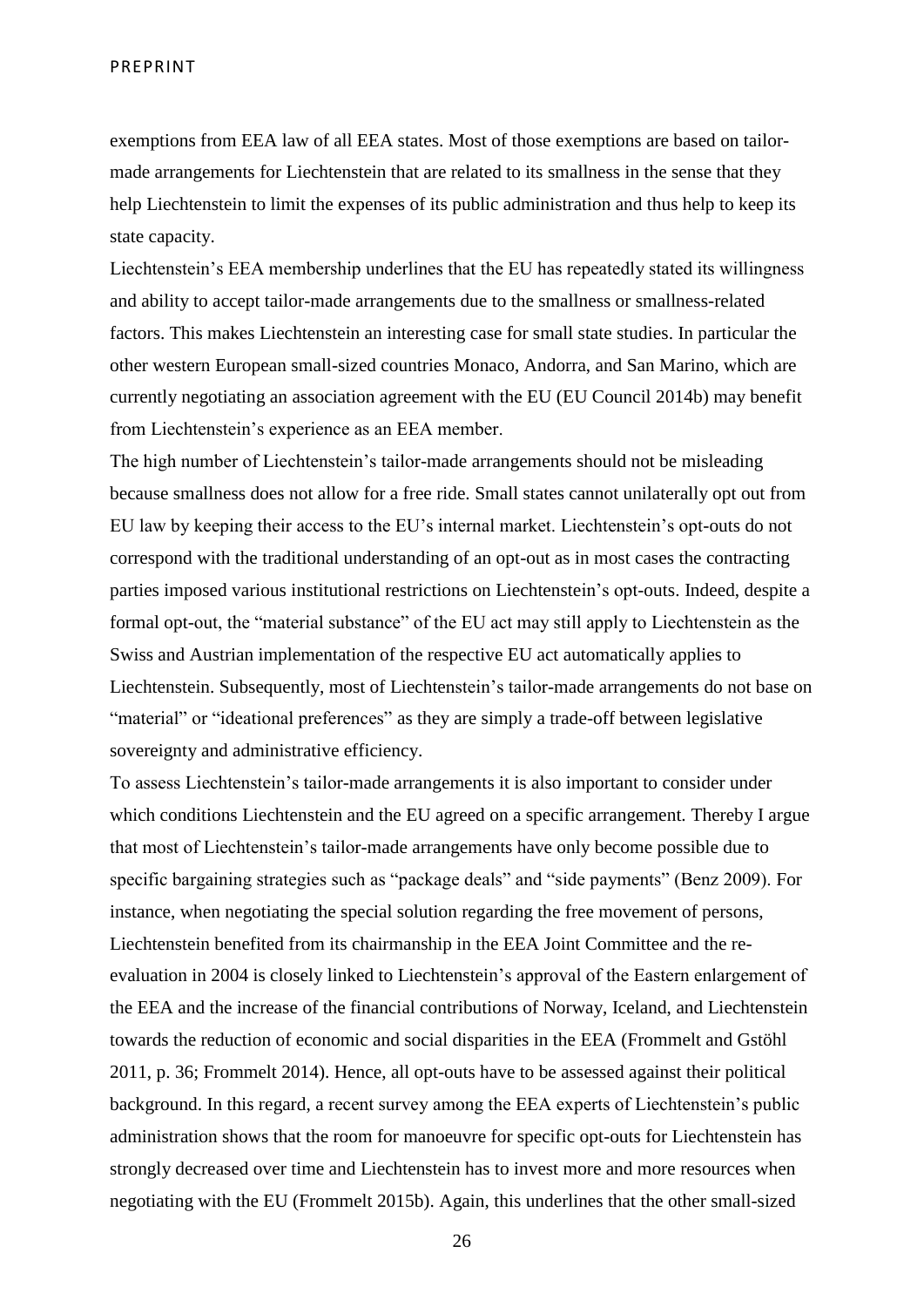exemptions from EEA law of all EEA states. Most of those exemptions are based on tailormade arrangements for Liechtenstein that are related to its smallness in the sense that they help Liechtenstein to limit the expenses of its public administration and thus help to keep its state capacity.

Liechtenstein's EEA membership underlines that the EU has repeatedly stated its willingness and ability to accept tailor-made arrangements due to the smallness or smallness-related factors. This makes Liechtenstein an interesting case for small state studies. In particular the other western European small-sized countries Monaco, Andorra, and San Marino, which are currently negotiating an association agreement with the EU (EU Council 2014b) may benefit from Liechtenstein's experience as an EEA member.

The high number of Liechtenstein's tailor-made arrangements should not be misleading because smallness does not allow for a free ride. Small states cannot unilaterally opt out from EU law by keeping their access to the EU's internal market. Liechtenstein's opt-outs do not correspond with the traditional understanding of an opt-out as in most cases the contracting parties imposed various institutional restrictions on Liechtenstein's opt-outs. Indeed, despite a formal opt-out, the "material substance" of the EU act may still apply to Liechtenstein as the Swiss and Austrian implementation of the respective EU act automatically applies to Liechtenstein. Subsequently, most of Liechtenstein's tailor-made arrangements do not base on "material" or "ideational preferences" as they are simply a trade-off between legislative sovereignty and administrative efficiency.

To assess Liechtenstein's tailor-made arrangements it is also important to consider under which conditions Liechtenstein and the EU agreed on a specific arrangement. Thereby I argue that most of Liechtenstein's tailor-made arrangements have only become possible due to specific bargaining strategies such as "package deals" and "side payments" (Benz 2009). For instance, when negotiating the special solution regarding the free movement of persons, Liechtenstein benefited from its chairmanship in the EEA Joint Committee and the reevaluation in 2004 is closely linked to Liechtenstein's approval of the Eastern enlargement of the EEA and the increase of the financial contributions of Norway, Iceland, and Liechtenstein towards the reduction of economic and social disparities in the EEA (Frommelt and Gstöhl 2011, p. 36; Frommelt 2014). Hence, all opt-outs have to be assessed against their political background. In this regard, a recent survey among the EEA experts of Liechtenstein's public administration shows that the room for manoeuvre for specific opt-outs for Liechtenstein has strongly decreased over time and Liechtenstein has to invest more and more resources when negotiating with the EU (Frommelt 2015b). Again, this underlines that the other small-sized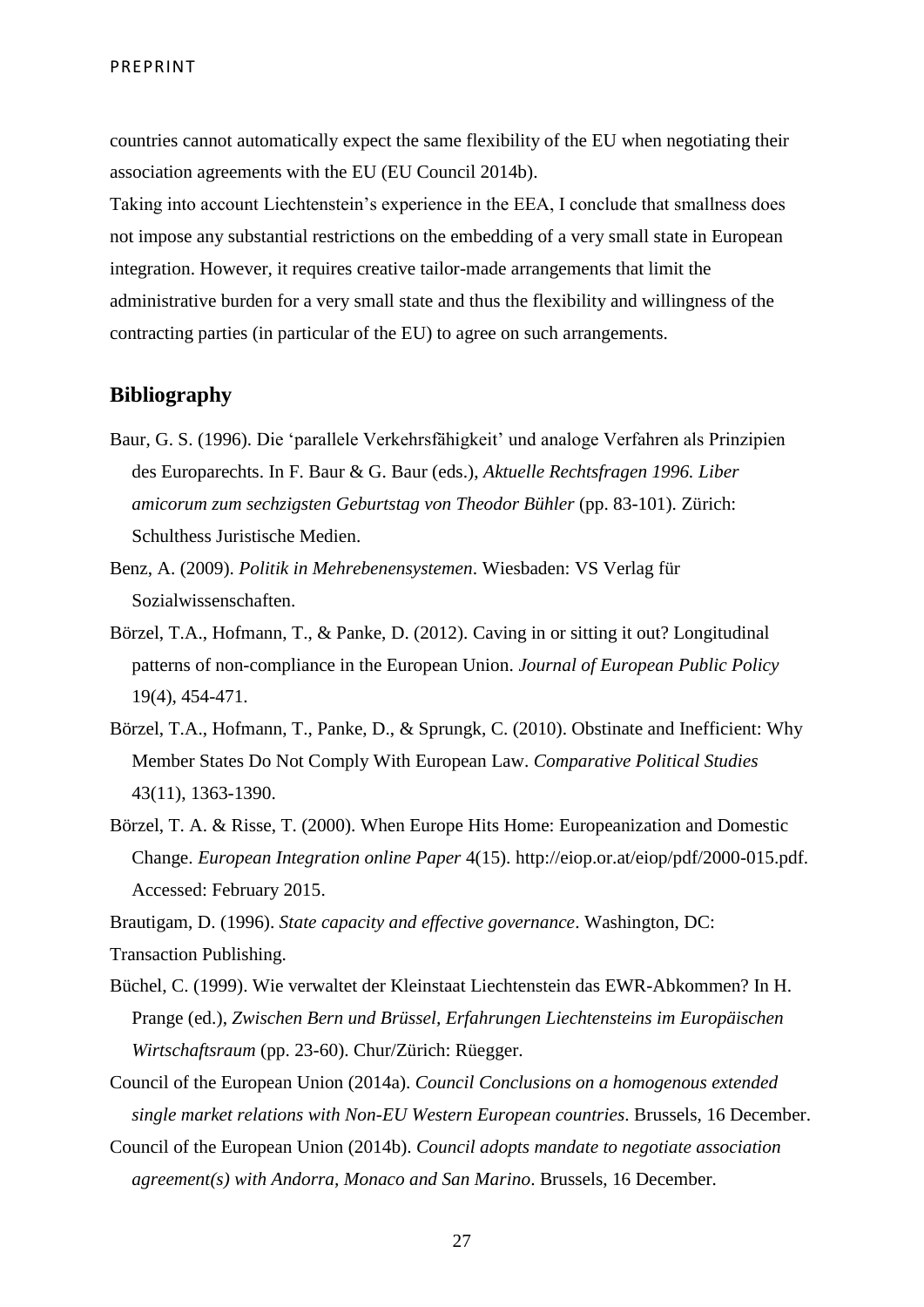countries cannot automatically expect the same flexibility of the EU when negotiating their association agreements with the EU (EU Council 2014b).

Taking into account Liechtenstein's experience in the EEA, I conclude that smallness does not impose any substantial restrictions on the embedding of a very small state in European integration. However, it requires creative tailor-made arrangements that limit the administrative burden for a very small state and thus the flexibility and willingness of the contracting parties (in particular of the EU) to agree on such arrangements.

# **Bibliography**

- Baur, G. S. (1996). Die 'parallele Verkehrsfähigkeit' und analoge Verfahren als Prinzipien des Europarechts. In F. Baur & G. Baur (eds.), *Aktuelle Rechtsfragen 1996. Liber amicorum zum sechzigsten Geburtstag von Theodor Bühler* (pp. 83-101). Zürich: Schulthess Juristische Medien.
- Benz, A. (2009). *Politik in Mehrebenensystemen*. Wiesbaden: VS Verlag für Sozialwissenschaften.
- Börzel, T.A., Hofmann, T., & Panke, D. (2012). Caving in or sitting it out? Longitudinal patterns of non-compliance in the European Union. *Journal of European Public Policy* 19(4), 454-471.
- Börzel, T.A., Hofmann, T., Panke, D., & Sprungk, C. (2010). Obstinate and Inefficient: Why Member States Do Not Comply With European Law. *Comparative Political Studies* 43(11), 1363-1390.
- Börzel, T. A. & Risse, T. (2000). When Europe Hits Home: Europeanization and Domestic Change. *European Integration online Paper* 4(15). http://eiop.or.at/eiop/pdf/2000-015.pdf. Accessed: February 2015.
- Brautigam, D. (1996). *State capacity and effective governance*. Washington, DC:

Transaction Publishing.

- Büchel, C. (1999). Wie verwaltet der Kleinstaat Liechtenstein das EWR-Abkommen? In H. Prange (ed.), *Zwischen Bern und Brüssel, Erfahrungen Liechtensteins im Europäischen Wirtschaftsraum* (pp. 23-60). Chur/Zürich: Rüegger.
- Council of the European Union (2014a). *Council Conclusions on a homogenous extended single market relations with Non-EU Western European countries*. Brussels, 16 December.
- Council of the European Union (2014b). *Council adopts mandate to negotiate association agreement(s) with Andorra, Monaco and San Marino*. Brussels, 16 December.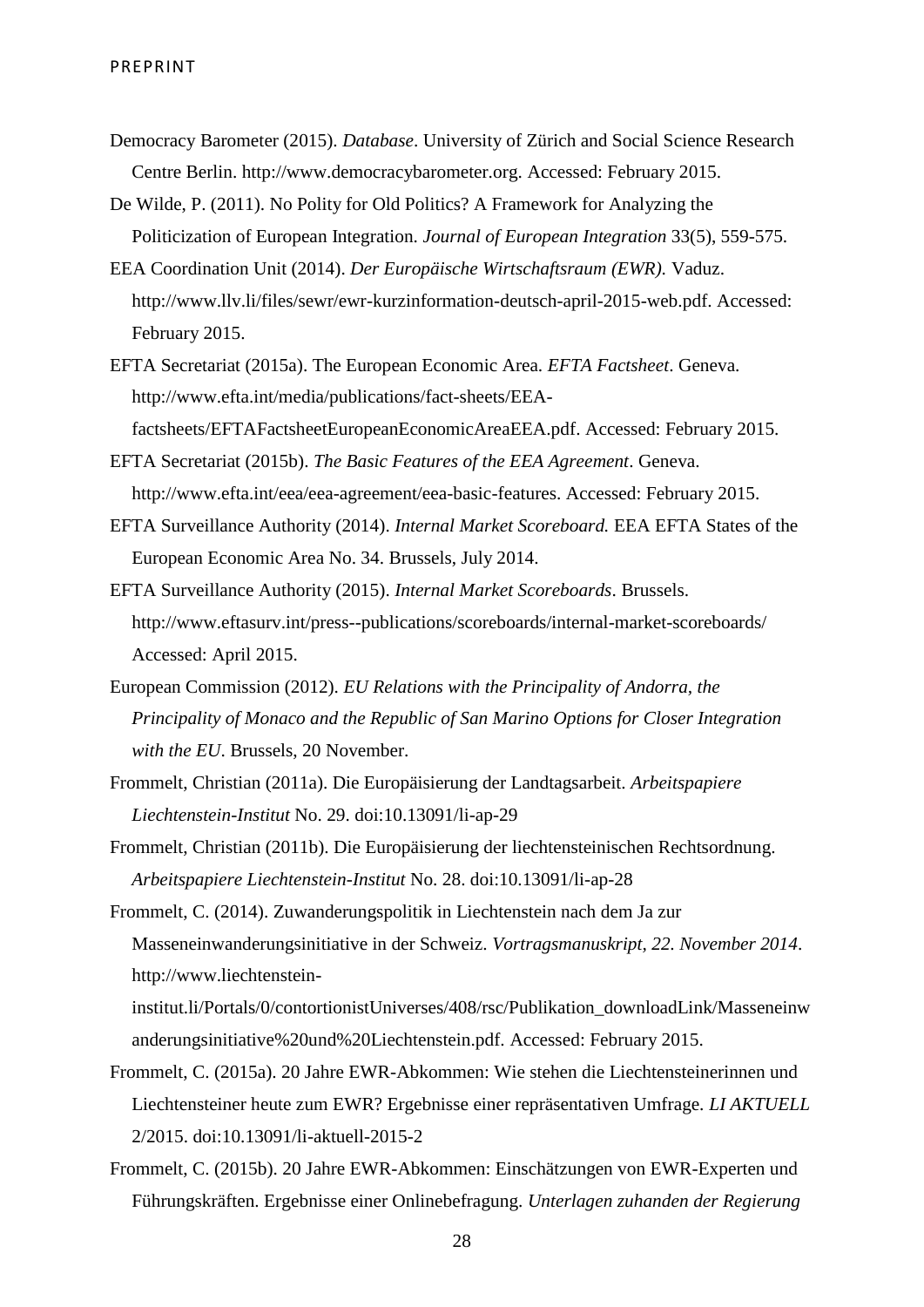- Democracy Barometer (2015). *Database*. University of Zürich and Social Science Research Centre Berlin. http://www.democracybarometer.org. Accessed: February 2015.
- De Wilde, P. (2011). No Polity for Old Politics? A Framework for Analyzing the Politicization of European Integration. *Journal of European Integration* 33(5), 559-575.
- EEA Coordination Unit (2014). *Der Europäische Wirtschaftsraum (EWR).* Vaduz. http://www.llv.li/files/sewr/ewr-kurzinformation-deutsch-april-2015-web.pdf. Accessed: February 2015.
- EFTA Secretariat (2015a). The European Economic Area. *EFTA Factsheet*. Geneva. http://www.efta.int/media/publications/fact-sheets/EEAfactsheets/EFTAFactsheetEuropeanEconomicAreaEEA.pdf. Accessed: February 2015.
- EFTA Secretariat (2015b). *The Basic Features of the EEA Agreement*. Geneva. http://www.efta.int/eea/eea-agreement/eea-basic-features. Accessed: February 2015.
- EFTA Surveillance Authority (2014). *Internal Market Scoreboard.* EEA EFTA States of the European Economic Area No. 34. Brussels, July 2014.
- EFTA Surveillance Authority (2015). *Internal Market Scoreboards*. Brussels. http://www.eftasurv.int/press--publications/scoreboards/internal-market-scoreboards/ Accessed: April 2015.
- European Commission (2012). *EU Relations with the Principality of Andorra, the Principality of Monaco and the Republic of San Marino Options for Closer Integration with the EU*. Brussels, 20 November.
- Frommelt, Christian (2011a). Die Europäisierung der Landtagsarbeit. *Arbeitspapiere Liechtenstein-Institut* No. 29. doi:10.13091/li-ap-29
- Frommelt, Christian (2011b). Die Europäisierung der liechtensteinischen Rechtsordnung. *Arbeitspapiere Liechtenstein-Institut* No. 28. doi:10.13091/li-ap-28
- Frommelt, C. (2014). Zuwanderungspolitik in Liechtenstein nach dem Ja zur Masseneinwanderungsinitiative in der Schweiz. *Vortragsmanuskript, 22. November 2014*. http://www.liechtenstein-

institut.li/Portals/0/contortionistUniverses/408/rsc/Publikation\_downloadLink/Masseneinw anderungsinitiative%20und%20Liechtenstein.pdf. Accessed: February 2015.

- Frommelt, C. (2015a). 20 Jahre EWR-Abkommen: Wie stehen die Liechtensteinerinnen und Liechtensteiner heute zum EWR? Ergebnisse einer repräsentativen Umfrage. *LI AKTUELL* 2/2015. doi:10.13091/li-aktuell-2015-2
- Frommelt, C. (2015b). 20 Jahre EWR-Abkommen: Einschätzungen von EWR-Experten und Führungskräften. Ergebnisse einer Onlinebefragung. *Unterlagen zuhanden der Regierung*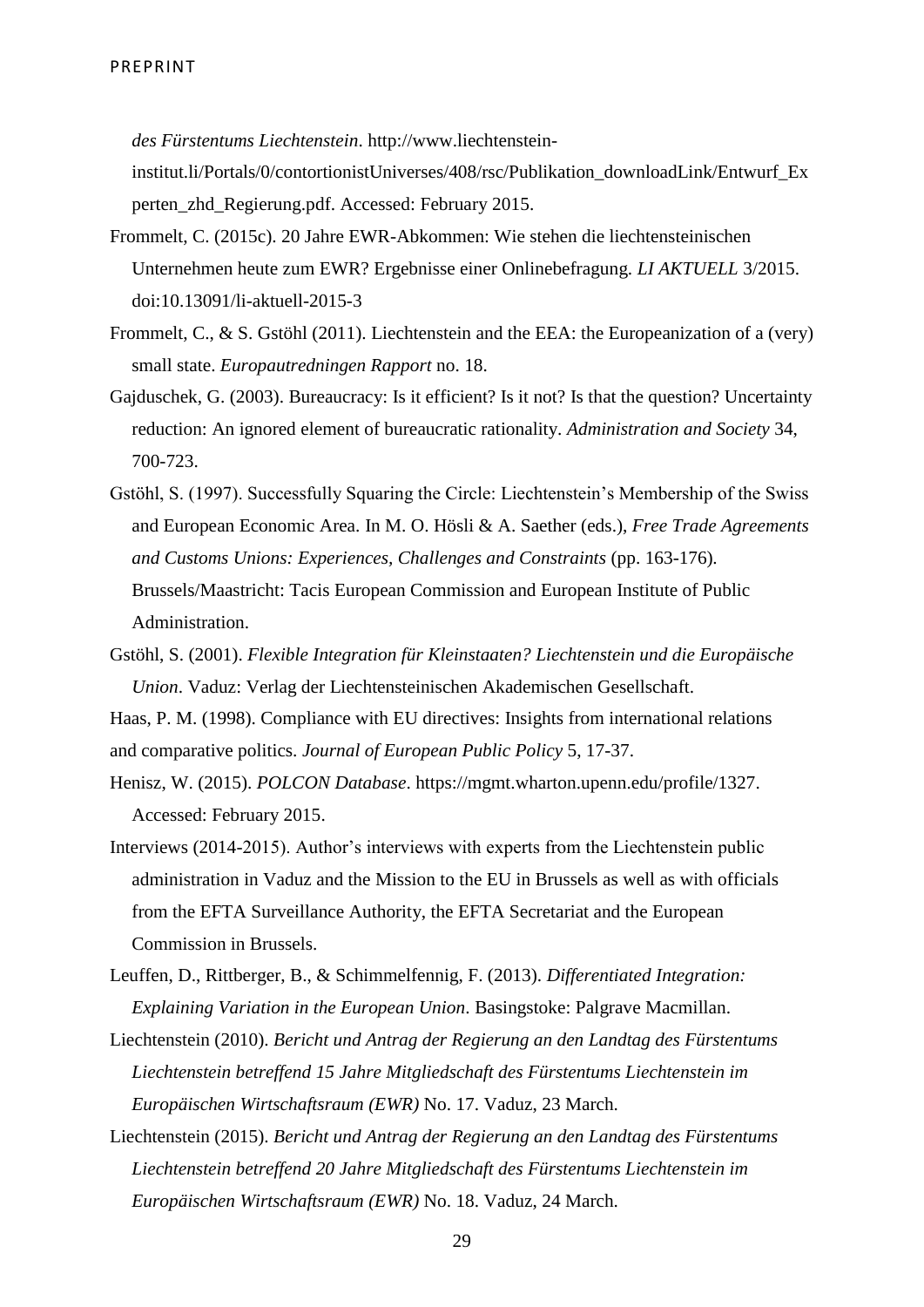*des Fürstentums Liechtenstein*. http://www.liechtenstein-

institut.li/Portals/0/contortionistUniverses/408/rsc/Publikation\_downloadLink/Entwurf\_Ex perten\_zhd\_Regierung.pdf. Accessed: February 2015.

- Frommelt, C. (2015c). 20 Jahre EWR-Abkommen: Wie stehen die liechtensteinischen Unternehmen heute zum EWR? Ergebnisse einer Onlinebefragung. *LI AKTUELL* 3/2015. doi:10.13091/li-aktuell-2015-3
- Frommelt, C., & S. Gstöhl (2011). Liechtenstein and the EEA: the Europeanization of a (very) small state. *Europautredningen Rapport* no. 18.
- Gajduschek, G. (2003). Bureaucracy: Is it efficient? Is it not? Is that the question? Uncertainty reduction: An ignored element of bureaucratic rationality. *Administration and Society* 34, 700-723.
- Gstöhl, S. (1997). Successfully Squaring the Circle: Liechtenstein's Membership of the Swiss and European Economic Area. In M. O. Hösli & A. Saether (eds.), *Free Trade Agreements and Customs Unions: Experiences, Challenges and Constraints* (pp. 163-176)*.*  Brussels/Maastricht: Tacis European Commission and European Institute of Public Administration.
- Gstöhl, S. (2001). *Flexible Integration für Kleinstaaten? Liechtenstein und die Europäische Union*. Vaduz: Verlag der Liechtensteinischen Akademischen Gesellschaft.

Haas, P. M. (1998). Compliance with EU directives: Insights from international relations and comparative politics. *Journal of European Public Policy* 5, 17-37.

- Henisz, W. (2015). *POLCON Database*. https://mgmt.wharton.upenn.edu/profile/1327. Accessed: February 2015.
- Interviews (2014-2015). Author's interviews with experts from the Liechtenstein public administration in Vaduz and the Mission to the EU in Brussels as well as with officials from the EFTA Surveillance Authority, the EFTA Secretariat and the European Commission in Brussels.
- Leuffen, D., Rittberger, B., & Schimmelfennig, F. (2013). *Differentiated Integration: Explaining Variation in the European Union*. Basingstoke: Palgrave Macmillan.
- Liechtenstein (2010). *Bericht und Antrag der Regierung an den Landtag des Fürstentums Liechtenstein betreffend 15 Jahre Mitgliedschaft des Fürstentums Liechtenstein im Europäischen Wirtschaftsraum (EWR)* No. 17. Vaduz, 23 March.
- Liechtenstein (2015). *Bericht und Antrag der Regierung an den Landtag des Fürstentums Liechtenstein betreffend 20 Jahre Mitgliedschaft des Fürstentums Liechtenstein im Europäischen Wirtschaftsraum (EWR)* No. 18. Vaduz, 24 March.